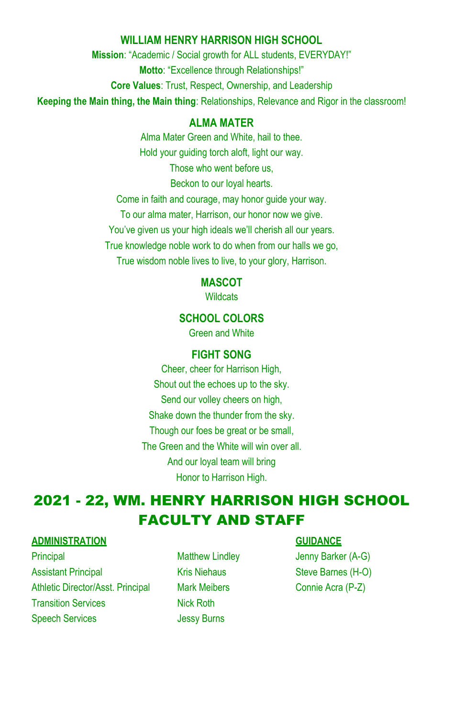#### **WILLIAM HENRY HARRISON HIGH SCHOOL**

**Mission**: "Academic / Social growth for ALL students, EVERYDAY!"

**Motto**: "Excellence through Relationships!"

**Core Values**: Trust, Respect, Ownership, and Leadership

**Keeping the Main thing, the Main thing**: Relationships, Relevance and Rigor in the classroom!

## **ALMA MATER**

Alma Mater Green and White, hail to thee. Hold your quiding torch aloft, light our way. Those who went before us, Beckon to our loyal hearts.

Come in faith and courage, may honor guide your way. To our alma mater, Harrison, our honor now we give. You've given us your high ideals we'll cherish all our years. True knowledge noble work to do when from our halls we go, True wisdom noble lives to live, to your glory, Harrison.

#### **MASCOT**

**Wildcats** 

**SCHOOL COLORS**

Green and White

# **FIGHT SONG**

Cheer, cheer for Harrison High, Shout out the echoes up to the sky. Send our volley cheers on high, Shake down the thunder from the sky. Though our foes be great or be small, The Green and the White will win over all. And our loyal team will bring Honor to Harrison High.

# 2021 - 22, WM. HENRY HARRISON HIGH SCHOOL FACULTY AND STAFF

#### **ADMINISTRATION GUIDANCE**

Principal Matthew Lindley Jenny Barker (A-G) Assistant Principal **Kris Niehaus** Kris Niehaus Steve Barnes (H-O) Athletic Director/Asst. Principal Mark Meibers Connie Acra (P-Z) **Transition Services** Nick Roth Speech Services **Jessy Burns**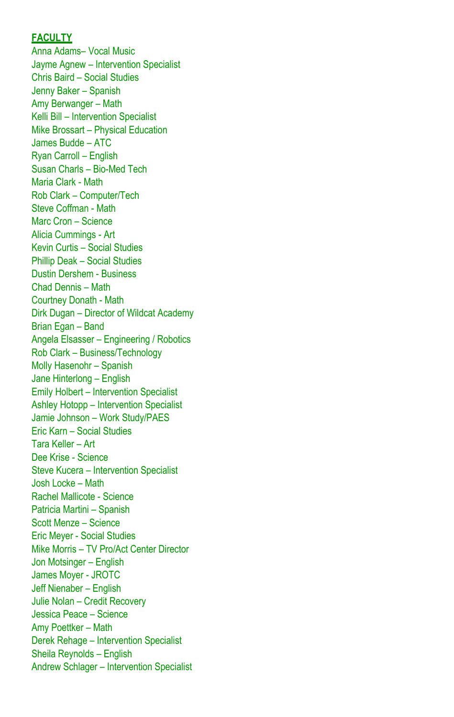#### **FACULTY**

Anna Adams– Vocal Music Jayme Agnew – Intervention Specialist Chris Baird – Social Studies Jenny Baker – Spanish Amy Berwanger – Math Kelli Bill – Intervention Specialist Mike Brossart – Physical Education James Budde – ATC Ryan Carroll – English Susan Charls – Bio-Med Tech Maria Clark - Math Rob Clark – Computer/Tech Steve Coffman - Math Marc Cron – Science Alicia Cummings - Art Kevin Curtis – Social Studies Phillip Deak – Social Studies Dustin Dershem - Business Chad Dennis – Math Courtney Donath - Math Dirk Dugan – Director of Wildcat Academy Brian Egan – Band Angela Elsasser – Engineering / Robotics Rob Clark – Business/Technology Molly Hasenohr – Spanish Jane Hinterlong – English Emily Holbert – Intervention Specialist Ashley Hotopp – Intervention Specialist Jamie Johnson – Work Study/PAES Eric Karn – Social Studies Tara Keller – Art Dee Krise - Science Steve Kucera – Intervention Specialist Josh Locke – Math Rachel Mallicote - Science Patricia Martini – Spanish Scott Menze – Science Eric Meyer - Social Studies Mike Morris – TV Pro/Act Center Director Jon Motsinger – English James Moyer - JROTC Jeff Nienaber – English Julie Nolan – Credit Recovery Jessica Peace – Science Amy Poettker – Math Derek Rehage – Intervention Specialist Sheila Reynolds – English Andrew Schlager – Intervention Specialist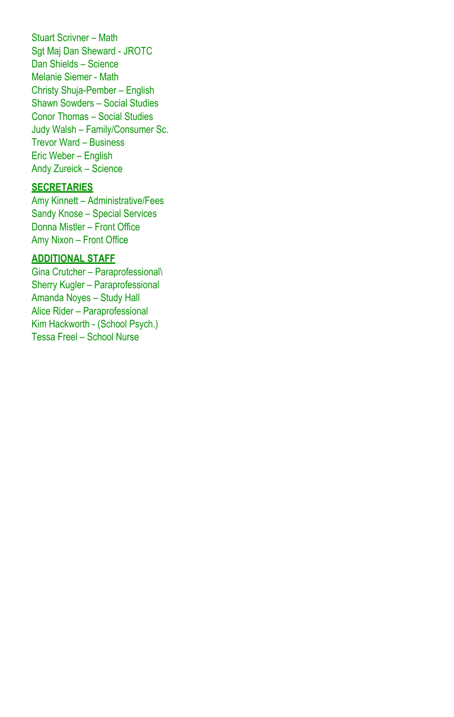Stuart Scrivner – Math Sgt Maj Dan Sheward - JROTC Dan Shields – Science Melanie Siemer - Math Christy Shuja-Pember – English Shawn Sowders – Social Studies Conor Thomas – Social Studies Judy Walsh – Family/Consumer Sc. Trevor Ward – Business Eric Weber – English Andy Zureick – Science

#### **SECRETARIES**

Amy Kinnett – Administrative/Fees Sandy Knose – Special Services Donna Mistler – Front Office Amy Nixon – Front Office

#### **ADDITIONAL STAFF**

Gina Crutcher – Paraprofessional\ Sherry Kugler – Paraprofessional Amanda Noyes – Study Hall Alice Rider – Paraprofessional Kim Hackworth - (School Psych.) Tessa Freel – School Nurse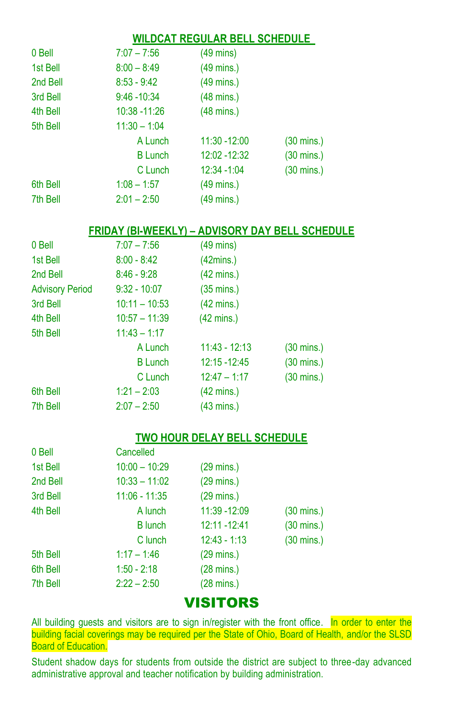# **WILDCAT REGULAR BELL SCHEDULE**

| 0 Bell   | $7:07 - 7:56$  | $(49 \text{ mins})$  |                      |
|----------|----------------|----------------------|----------------------|
| 1st Bell | $8:00 - 8:49$  | $(49 \text{ mins.})$ |                      |
| 2nd Bell | $8:53 - 9:42$  | $(49 \text{ mins.})$ |                      |
| 3rd Bell | $9:46 - 10:34$ | $(48 \text{ mins.})$ |                      |
| 4th Bell | 10:38 - 11:26  | $(48 \text{ mins.})$ |                      |
| 5th Bell | $11:30 - 1:04$ |                      |                      |
|          | A Lunch        | $11:30 - 12:00$      | $(30 \text{ mins.})$ |
|          | <b>B</b> Lunch | 12:02 - 12:32        | $(30 \text{ mins.})$ |
|          | C Lunch        | $12:34 - 1:04$       | $(30 \text{ mins.})$ |
| 6th Bell | $1:08 - 1:57$  | $(49 \text{ mins.})$ |                      |
| 7th Bell | $2:01 - 2:50$  | $(49 \text{ mins.})$ |                      |
|          |                |                      |                      |

# **FRIDAY (BI-WEEKLY) – ADVISORY DAY BELL SCHEDULE**

| 0 Bell                 | $7:07 - 7:56$   | $(49 \text{ mins})$  |                      |
|------------------------|-----------------|----------------------|----------------------|
| 1st Bell               | $8:00 - 8:42$   | $(42$ mins.)         |                      |
| 2nd Bell               | $8:46 - 9:28$   | $(42 \text{ mins.})$ |                      |
| <b>Advisory Period</b> | $9:32 - 10:07$  | $(35 \text{ mins.})$ |                      |
| 3rd Bell               | $10:11 - 10:53$ | $(42 \text{ mins.})$ |                      |
| 4th Bell               | $10:57 - 11:39$ | $(42 \text{ mins.})$ |                      |
| 5th Bell               | $11:43 - 1:17$  |                      |                      |
|                        | A Lunch         | $11:43 - 12:13$      | $(30 \text{ mins.})$ |
|                        | <b>B</b> Lunch  | $12:15 - 12:45$      | $(30 \text{ mins.})$ |
|                        | C Lunch         | $12:47 - 1:17$       | $(30 \text{ mins.})$ |
| 6th Bell               | $1:21 - 2:03$   | $(42 \text{ mins.})$ |                      |
| 7th Bell               | $2:07 - 2:50$   | $(43 \text{ mins.})$ |                      |

#### **TWO HOUR DELAY BELL SCHEDULE**

| 0 Bell   | Cancelled       |                      |                      |
|----------|-----------------|----------------------|----------------------|
| 1st Bell | $10:00 - 10:29$ | $(29 \text{ mins.})$ |                      |
| 2nd Bell | $10:33 - 11:02$ | $(29 \text{ mins.})$ |                      |
| 3rd Bell | $11:06 - 11:35$ | $(29 \text{ mins.})$ |                      |
| 4th Bell | A lunch         | $11:39 - 12:09$      | $(30 \text{ mins.})$ |
|          | <b>B</b> lunch  | 12:11 - 12:41        | $(30 \text{ mins.})$ |
|          | C lunch         | $12:43 - 1:13$       | $(30 \text{ mins.})$ |
| 5th Bell | $1:17 - 1:46$   | $(29 \text{ mins.})$ |                      |
| 6th Bell | $1:50 - 2:18$   | $(28 \text{ mins.})$ |                      |
| 7th Bell | $2:22 - 2:50$   | $(28 \text{ mins.})$ |                      |
|          |                 |                      |                      |

VISITORS

All building guests and visitors are to sign in/register with the front office. In order to enter the building facial coverings may be required per the State of Ohio, Board of Health, and/or the SLSD Board of Education.

Student shadow days for students from outside the district are subject to three-day advanced administrative approval and teacher notification by building administration.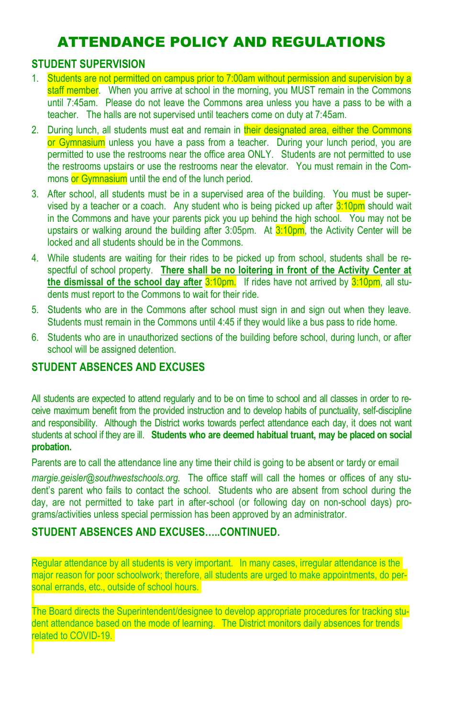# ATTENDANCE POLICY AND REGULATIONS

# **STUDENT SUPERVISION**

- 1. Students are not permitted on campus prior to 7:00am without permission and supervision by a staff member. When you arrive at school in the morning, you MUST remain in the Commons until 7:45am. Please do not leave the Commons area unless you have a pass to be with a teacher. The halls are not supervised until teachers come on duty at 7:45am.
- 2. During lunch, all students must eat and remain in their designated area, either the Commons or Gymnasium unless you have a pass from a teacher. During your lunch period, you are permitted to use the restrooms near the office area ONLY. Students are not permitted to use the restrooms upstairs or use the restrooms near the elevator. You must remain in the Commons or Gymnasium until the end of the lunch period.
- 3. After school, all students must be in a supervised area of the building. You must be supervised by a teacher or a coach. Any student who is being picked up after  $3:10<sub>pm</sub>$  should wait in the Commons and have your parents pick you up behind the high school. You may not be upstairs or walking around the building after  $3:05$ pm. At  $3:10$ pm, the Activity Center will be locked and all students should be in the Commons.
- 4. While students are waiting for their rides to be picked up from school, students shall be respectful of school property. **There shall be no loitering in front of the Activity Center at the dismissal of the school day after 3:10pm.** If rides have not arrived by 3:10pm, all students must report to the Commons to wait for their ride.
- 5. Students who are in the Commons after school must sign in and sign out when they leave. Students must remain in the Commons until 4:45 if they would like a bus pass to ride home.
- 6. Students who are in unauthorized sections of the building before school, during lunch, or after school will be assigned detention.

# **STUDENT ABSENCES AND EXCUSES**

All students are expected to attend regularly and to be on time to school and all classes in order to receive maximum benefit from the provided instruction and to develop habits of punctuality, self-discipline and responsibility. Although the District works towards perfect attendance each day, it does not want students at school if they are ill. **Students who are deemed habitual truant, may be placed on social probation.**

Parents are to call the attendance line any time their child is going to be absent or tardy or email

*margie.geisler@southwestschools.org.* The office staff will call the homes or offices of any student's parent who fails to contact the school. Students who are absent from school during the day, are not permitted to take part in after-school (or following day on non-school days) programs/activities unless special permission has been approved by an administrator.

# **STUDENT ABSENCES AND EXCUSES…..CONTINUED.**

Regular attendance by all students is very important. In many cases, irregular attendance is the major reason for poor schoolwork; therefore, all students are urged to make appointments, do personal errands, etc., outside of school hours.

The Board directs the Superintendent/designee to develop appropriate procedures for tracking student attendance based on the mode of learning. The District monitors daily absences for trends related to COVID-19.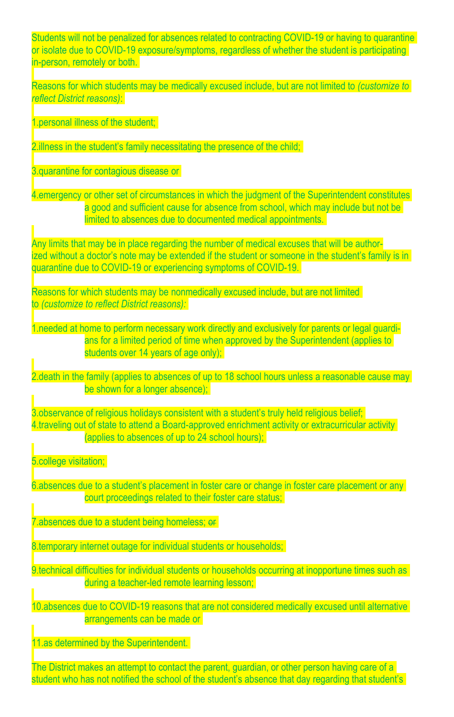Students will not be penalized for absences related to contracting COVID-19 or having to quarantine or isolate due to COVID-19 exposure/symptoms, regardless of whether the student is participating in-person, remotely or both.

Reasons for which students may be medically excused include, but are not limited to *(customize to reflect District reasons)*:

1.personal illness of the student;

2.illness in the student's family necessitating the presence of the child;

3.quarantine for contagious disease or

4.emergency or other set of circumstances in which the judgment of the Superintendent constitutes a good and sufficient cause for absence from school, which may include but not be limited to absences due to documented medical appointments.

Any limits that may be in place regarding the number of medical excuses that will be authorized without a doctor's note may be extended if the student or someone in the student's family is in quarantine due to COVID-19 or experiencing symptoms of COVID-19.

Reasons for which students may be nonmedically excused include, but are not limited to *(customize to reflect District reasons):*

1.needed at home to perform necessary work directly and exclusively for parents or legal guardians for a limited period of time when approved by the Superintendent (applies to students over 14 years of age only);

2.death in the family (applies to absences of up to 18 school hours unless a reasonable cause may be shown for a longer absence);

3.observance of religious holidays consistent with a student's truly held religious belief; 4.traveling out of state to attend a Board-approved enrichment activity or extracurricular activity (applies to absences of up to 24 school hours);

**5.college visitation:** 

6.absences due to a student's placement in foster care or change in foster care placement or any court proceedings related to their foster care status;

7.absences due to a student being homeless; er

8.temporary internet outage for individual students or households;

9.technical difficulties for individual students or households occurring at inopportune times such as during a teacher-led remote learning lesson;

10.absences due to COVID-19 reasons that are not considered medically excused until alternative arrangements can be made or

11.as determined by the Superintendent.

The District makes an attempt to contact the parent, guardian, or other person having care of a student who has not notified the school of the student's absence that day regarding that student's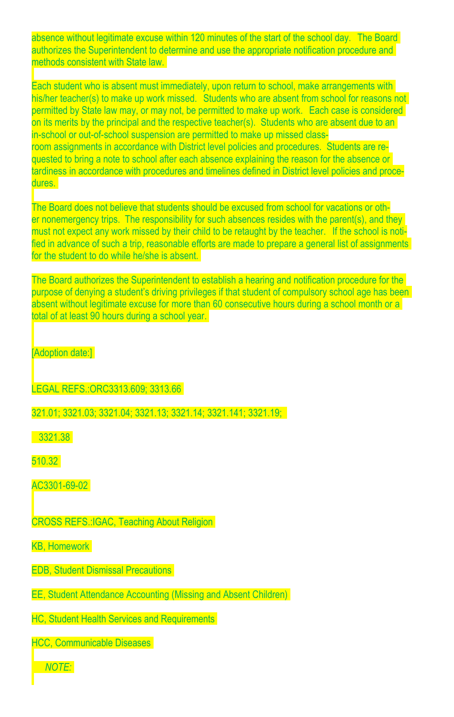absence without legitimate excuse within 120 minutes of the start of the school day. The Board authorizes the Superintendent to determine and use the appropriate notification procedure and methods consistent with State law.

Each student who is absent must immediately, upon return to school, make arrangements with his/her teacher(s) to make up work missed. Students who are absent from school for reasons not permitted by State law may, or may not, be permitted to make up work. Each case is considered on its merits by the principal and the respective teacher(s). Students who are absent due to an in-school or out-of-school suspension are permitted to make up missed classroom assignments in accordance with District level policies and procedures. Students are requested to bring a note to school after each absence explaining the reason for the absence or tardiness in accordance with procedures and timelines defined in District level policies and procedures.

The Board does not believe that students should be excused from school for vacations or other nonemergency trips. The responsibility for such absences resides with the parent(s), and they must not expect any work missed by their child to be retaught by the teacher. If the school is notified in advance of such a trip, reasonable efforts are made to prepare a general list of assignments for the student to do while he/she is absent.

The Board authorizes the Superintendent to establish a hearing and notification procedure for the purpose of denying a student's driving privileges if that student of compulsory school age has been absent without legitimate excuse for more than 60 consecutive hours during a school month or a total of at least 90 hours during a school year.

**[Adoption date:]** 

LEGAL REFS.:ORC3313.609; 3313.66

321.01; 3321.03; 3321.04; 3321.13; 3321.14; 3321.141; 3321.19;

3321.38

510.32

AC3301-69-02

CROSS REFS.:IGAC, Teaching About Religion

KB, Homework

EDB, Student Dismissal Precautions

EE, Student Attendance Accounting (Missing and Absent Children)

**HC. Student Health Services and Requirements** 

HCC, Communicable Diseases

*NOTE:*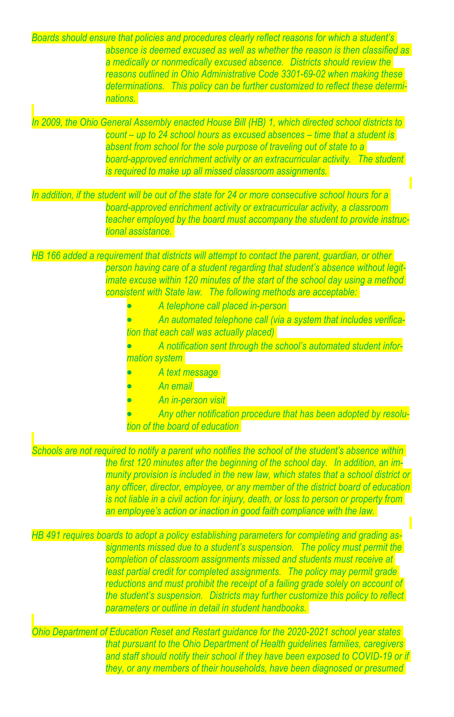*Boards should ensure that policies and procedures clearly reflect reasons for which a student's absence is deemed excused as well as whether the reason is then classified as a medically or nonmedically excused absence. Districts should review the reasons outlined in Ohio Administrative Code 3301-69-02 when making these determinations. This policy can be further customized to reflect these determinations. In 2009, the Ohio General Assembly enacted House Bill (HB) 1, which directed school districts to count – up to 24 school hours as excused absences – time that a student is absent from school for the sole purpose of traveling out of state to a board-approved enrichment activity or an extracurricular activity. The student is required to make up all missed classroom assignments. In addition, if the student will be out of the state for 24 or more consecutive school hours for a board-approved enrichment activity or extracurricular activity, a classroom teacher employed by the board must accompany the student to provide instructional assistance. HB 166 added a requirement that districts will attempt to contact the parent, guardian, or other person having care of a student regarding that student's absence without legitimate excuse within 120 minutes of the start of the school day using a method consistent with State law. The following methods are acceptable:* • *A telephone call placed in-person* • *An automated telephone call (via a system that includes verification that each call was actually placed)* • *A notification sent through the school's automated student information system* • *A text message* • *An email* • *An in-person visit* • *Any other notification procedure that has been adopted by resolution of the board of education Schools are not required to notify a parent who notifies the school of the student's absence within the first 120 minutes after the beginning of the school day. In addition, an immunity provision is included in the new law, which states that a school district or any officer, director, employee, or any member of the district board of education is not liable in a civil action for injury, death, or loss to person or property from an employee's action or inaction in good faith compliance with the law. HB 491 requires boards to adopt a policy establishing parameters for completing and grading assignments missed due to a student's suspension. The policy must permit the completion of classroom assignments missed and students must receive at least partial credit for completed assignments. The policy may permit grade*  reductions and must prohibit the receipt of a failing grade solely on account of *the student's suspension. Districts may further customize this policy to reflect parameters or outline in detail in student handbooks. Ohio Department of Education Reset and Restart guidance for the 2020-2021 school year states that pursuant to the Ohio Department of Health guidelines families, caregivers*  and staff should notify their school if they have been exposed to COVID-19 or if *they, or any members of their households, have been diagnosed or presumed*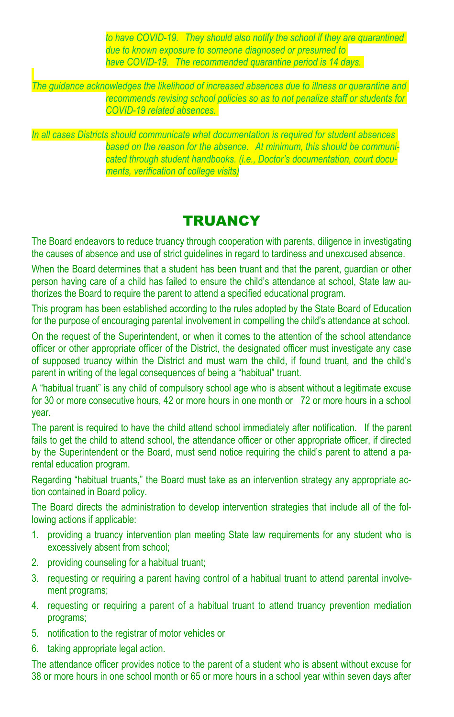*to have COVID-19. They should also notify the school if they are quarantined due to known exposure to someone diagnosed or presumed to have COVID-19. The recommended quarantine period is 14 days.*

*The guidance acknowledges the likelihood of increased absences due to illness or quarantine and recommends revising school policies so as to not penalize staff or students for COVID-19 related absences.*

*In all cases Districts should communicate what documentation is required for student absences based on the reason for the absence. At minimum, this should be communicated through student handbooks. (i.e., Doctor's documentation, court documents, verification of college visits)*

# **TRUANCY**

The Board endeavors to reduce truancy through cooperation with parents, diligence in investigating the causes of absence and use of strict guidelines in regard to tardiness and unexcused absence.

When the Board determines that a student has been truant and that the parent, guardian or other person having care of a child has failed to ensure the child's attendance at school, State law authorizes the Board to require the parent to attend a specified educational program.

This program has been established according to the rules adopted by the State Board of Education for the purpose of encouraging parental involvement in compelling the child's attendance at school.

On the request of the Superintendent, or when it comes to the attention of the school attendance officer or other appropriate officer of the District, the designated officer must investigate any case of supposed truancy within the District and must warn the child, if found truant, and the child's parent in writing of the legal consequences of being a "habitual" truant.

A "habitual truant" is any child of compulsory school age who is absent without a legitimate excuse for 30 or more consecutive hours, 42 or more hours in one month or 72 or more hours in a school year.

The parent is required to have the child attend school immediately after notification. If the parent fails to get the child to attend school, the attendance officer or other appropriate officer, if directed by the Superintendent or the Board, must send notice requiring the child's parent to attend a parental education program.

Regarding "habitual truants," the Board must take as an intervention strategy any appropriate action contained in Board policy.

The Board directs the administration to develop intervention strategies that include all of the following actions if applicable:

- 1. providing a truancy intervention plan meeting State law requirements for any student who is excessively absent from school;
- 2. providing counseling for a habitual truant;
- 3. requesting or requiring a parent having control of a habitual truant to attend parental involvement programs;
- 4. requesting or requiring a parent of a habitual truant to attend truancy prevention mediation programs;
- 5. notification to the registrar of motor vehicles or
- 6. taking appropriate legal action.

The attendance officer provides notice to the parent of a student who is absent without excuse for 38 or more hours in one school month or 65 or more hours in a school year within seven days after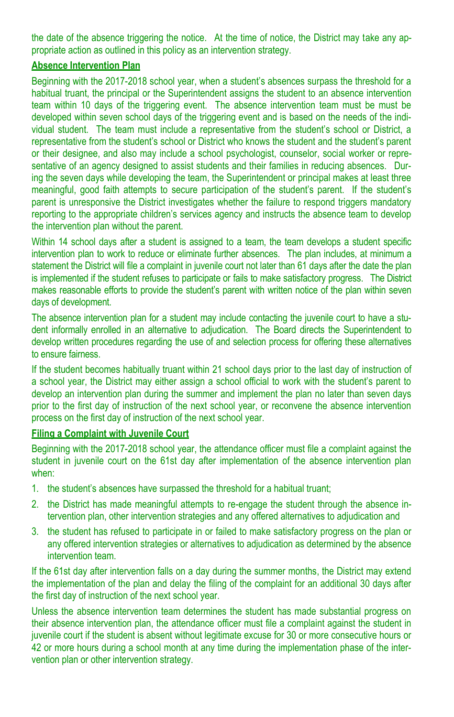the date of the absence triggering the notice. At the time of notice, the District may take any appropriate action as outlined in this policy as an intervention strategy.

#### **Absence Intervention Plan**

Beginning with the 2017-2018 school year, when a student's absences surpass the threshold for a habitual truant, the principal or the Superintendent assigns the student to an absence intervention team within 10 days of the triggering event. The absence intervention team must be must be developed within seven school days of the triggering event and is based on the needs of the individual student. The team must include a representative from the student's school or District, a representative from the student's school or District who knows the student and the student's parent or their designee, and also may include a school psychologist, counselor, social worker or representative of an agency designed to assist students and their families in reducing absences. During the seven days while developing the team, the Superintendent or principal makes at least three meaningful, good faith attempts to secure participation of the student's parent. If the student's parent is unresponsive the District investigates whether the failure to respond triggers mandatory reporting to the appropriate children's services agency and instructs the absence team to develop the intervention plan without the parent.

Within 14 school days after a student is assigned to a team, the team develops a student specific intervention plan to work to reduce or eliminate further absences. The plan includes, at minimum a statement the District will file a complaint in juvenile court not later than 61 days after the date the plan is implemented if the student refuses to participate or fails to make satisfactory progress. The District makes reasonable efforts to provide the student's parent with written notice of the plan within seven days of development.

The absence intervention plan for a student may include contacting the juvenile court to have a student informally enrolled in an alternative to adjudication. The Board directs the Superintendent to develop written procedures regarding the use of and selection process for offering these alternatives to ensure fairness.

If the student becomes habitually truant within 21 school days prior to the last day of instruction of a school year, the District may either assign a school official to work with the student's parent to develop an intervention plan during the summer and implement the plan no later than seven days prior to the first day of instruction of the next school year, or reconvene the absence intervention process on the first day of instruction of the next school year.

## **Filing a Complaint with Juvenile Court**

Beginning with the 2017-2018 school year, the attendance officer must file a complaint against the student in juvenile court on the 61st day after implementation of the absence intervention plan when:

- 1. the student's absences have surpassed the threshold for a habitual truant;
- 2. the District has made meaningful attempts to re-engage the student through the absence intervention plan, other intervention strategies and any offered alternatives to adjudication and
- 3. the student has refused to participate in or failed to make satisfactory progress on the plan or any offered intervention strategies or alternatives to adjudication as determined by the absence intervention team.

If the 61st day after intervention falls on a day during the summer months, the District may extend the implementation of the plan and delay the filing of the complaint for an additional 30 days after the first day of instruction of the next school year.

Unless the absence intervention team determines the student has made substantial progress on their absence intervention plan, the attendance officer must file a complaint against the student in juvenile court if the student is absent without legitimate excuse for 30 or more consecutive hours or 42 or more hours during a school month at any time during the implementation phase of the intervention plan or other intervention strategy.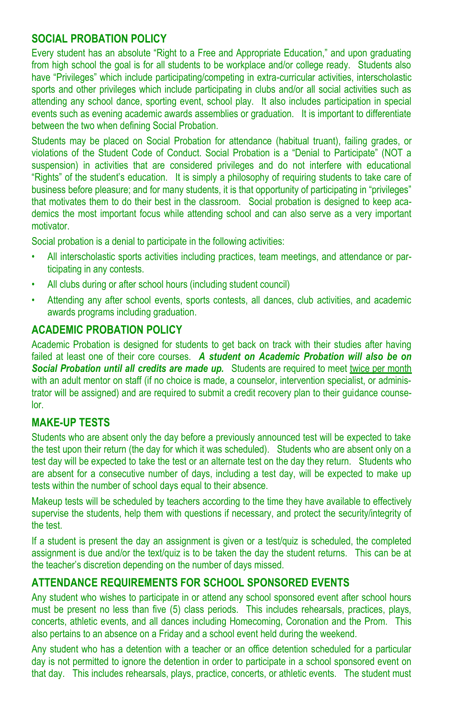## **SOCIAL PROBATION POLICY**

Every student has an absolute "Right to a Free and Appropriate Education," and upon graduating from high school the goal is for all students to be workplace and/or college ready. Students also have "Privileges" which include participating/competing in extra-curricular activities, interscholastic sports and other privileges which include participating in clubs and/or all social activities such as attending any school dance, sporting event, school play. It also includes participation in special events such as evening academic awards assemblies or graduation. It is important to differentiate between the two when defining Social Probation.

Students may be placed on Social Probation for attendance (habitual truant), failing grades, or violations of the Student Code of Conduct. Social Probation is a "Denial to Participate" (NOT a suspension) in activities that are considered privileges and do not interfere with educational "Rights" of the student's education. It is simply a philosophy of requiring students to take care of business before pleasure; and for many students, it is that opportunity of participating in "privileges" that motivates them to do their best in the classroom. Social probation is designed to keep academics the most important focus while attending school and can also serve as a very important motivator.

Social probation is a denial to participate in the following activities:

- All interscholastic sports activities including practices, team meetings, and attendance or participating in any contests.
- All clubs during or after school hours (including student council)
- Attending any after school events, sports contests, all dances, club activities, and academic awards programs including graduation.

# **ACADEMIC PROBATION POLICY**

Academic Probation is designed for students to get back on track with their studies after having failed at least one of their core courses. *A student on Academic Probation will also be on*  **Social Probation until all credits are made up.** Students are required to meet twice per month with an adult mentor on staff (if no choice is made, a counselor, intervention specialist, or administrator will be assigned) and are required to submit a credit recovery plan to their guidance counselor.

#### **MAKE-UP TESTS**

Students who are absent only the day before a previously announced test will be expected to take the test upon their return (the day for which it was scheduled). Students who are absent only on a test day will be expected to take the test or an alternate test on the day they return. Students who are absent for a consecutive number of days, including a test day, will be expected to make up tests within the number of school days equal to their absence.

Makeup tests will be scheduled by teachers according to the time they have available to effectively supervise the students, help them with questions if necessary, and protect the security/integrity of the test.

If a student is present the day an assignment is given or a test/quiz is scheduled, the completed assignment is due and/or the text/quiz is to be taken the day the student returns. This can be at the teacher's discretion depending on the number of days missed.

# **ATTENDANCE REQUIREMENTS FOR SCHOOL SPONSORED EVENTS**

Any student who wishes to participate in or attend any school sponsored event after school hours must be present no less than five (5) class periods. This includes rehearsals, practices, plays, concerts, athletic events, and all dances including Homecoming, Coronation and the Prom. This also pertains to an absence on a Friday and a school event held during the weekend.

Any student who has a detention with a teacher or an office detention scheduled for a particular day is not permitted to ignore the detention in order to participate in a school sponsored event on that day. This includes rehearsals, plays, practice, concerts, or athletic events. The student must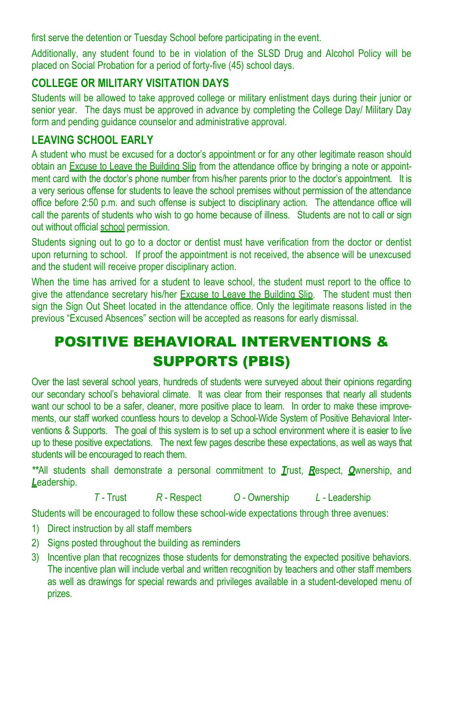first serve the detention or Tuesday School before participating in the event.

Additionally, any student found to be in violation of the SLSD Drug and Alcohol Policy will be placed on Social Probation for a period of forty-five (45) school days.

# **COLLEGE OR MILITARY VISITATION DAYS**

Students will be allowed to take approved college or military enlistment days during their junior or senior year. The days must be approved in advance by completing the College Day/ Military Day form and pending guidance counselor and administrative approval.

# **LEAVING SCHOOL EARLY**

A student who must be excused for a doctor's appointment or for any other legitimate reason should obtain an Excuse to Leave the Building Slip from the attendance office by bringing a note or appointment card with the doctor's phone number from his/her parents prior to the doctor's appointment. It is a very serious offense for students to leave the school premises without permission of the attendance office before 2:50 p.m. and such offense is subject to disciplinary action. The attendance office will call the parents of students who wish to go home because of illness. Students are not to call or sign out without official school permission.

Students signing out to go to a doctor or dentist must have verification from the doctor or dentist upon returning to school. If proof the appointment is not received, the absence will be unexcused and the student will receive proper disciplinary action.

When the time has arrived for a student to leave school, the student must report to the office to give the attendance secretary his/her Excuse to Leave the Building Slip. The student must then sign the Sign Out Sheet located in the attendance office. Only the legitimate reasons listed in the previous "Excused Absences" section will be accepted as reasons for early dismissal.

# POSITIVE BEHAVIORAL INTERVENTIONS & SUPPORTS (PBIS)

Over the last several school years, hundreds of students were surveyed about their opinions regarding our secondary school's behavioral climate. It was clear from their responses that nearly all students want our school to be a safer, cleaner, more positive place to learn. In order to make these improvements, our staff worked countless hours to develop a School-Wide System of Positive Behavioral Interventions & Supports. The goal of this system is to set up a school environment where it is easier to live up to these positive expectations. The next few pages describe these expectations, as well as ways that students will be encouraged to reach them.

*\*\**All students shall demonstrate a personal commitment to *T*rust, *R*espect, *O*wnership, and *L*eadership.

*T -* Trust *R -* Respect *O -* Ownership *L -* Leadership

Students will be encouraged to follow these school-wide expectations through three avenues:

- 1) Direct instruction by all staff members
- 2) Signs posted throughout the building as reminders
- 3) Incentive plan that recognizes those students for demonstrating the expected positive behaviors. The incentive plan will include verbal and written recognition by teachers and other staff members as well as drawings for special rewards and privileges available in a student-developed menu of prizes.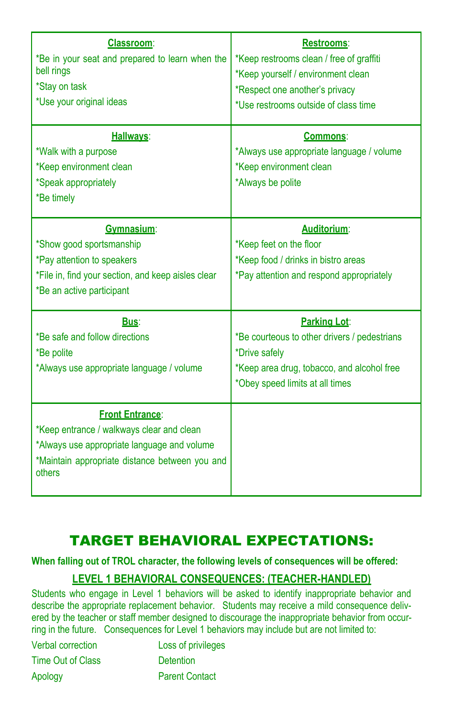| <b>Classroom:</b><br>*Be in your seat and prepared to learn when the<br>bell rings<br>*Stay on task<br>*Use your original ideas                                                | Restrooms:<br>*Keep restrooms clean / free of graffiti<br>*Keep yourself / environment clean<br>*Respect one another's privacy<br>*Use restrooms outside of class time |
|--------------------------------------------------------------------------------------------------------------------------------------------------------------------------------|------------------------------------------------------------------------------------------------------------------------------------------------------------------------|
| Hallways:<br>*Walk with a purpose<br>*Keep environment clean<br>*Speak appropriately<br>*Be timely                                                                             | <b>Commons:</b><br>*Always use appropriate language / volume<br>*Keep environment clean<br>*Always be polite                                                           |
| Gymnasium:<br>*Show good sportsmanship<br>*Pay attention to speakers<br>*File in, find your section, and keep aisles clear<br>*Be an active participant                        | Auditorium:<br>*Keep feet on the floor<br>*Keep food / drinks in bistro areas<br>*Pay attention and respond appropriately                                              |
| Bus:<br>*Be safe and follow directions<br>*Be polite<br>*Always use appropriate language / volume                                                                              | Parking Lot:<br>*Be courteous to other drivers / pedestrians<br>*Drive safely<br>*Keep area drug, tobacco, and alcohol free<br>*Obey speed limits at all times         |
| <b>Front Entrance:</b><br>*Keep entrance / walkways clear and clean<br>*Always use appropriate language and volume<br>*Maintain appropriate distance between you and<br>others |                                                                                                                                                                        |

# TARGET BEHAVIORAL EXPECTATIONS:

**When falling out of TROL character, the following levels of consequences will be offered:** 

# **LEVEL 1 BEHAVIORAL CONSEQUENCES: (TEACHER-HANDLED)**

Students who engage in Level 1 behaviors will be asked to identify inappropriate behavior and describe the appropriate replacement behavior. Students may receive a mild consequence delivered by the teacher or staff member designed to discourage the inappropriate behavior from occurring in the future. Consequences for Level 1 behaviors may include but are not limited to:

| Verbal correction | Loss of privileges    |
|-------------------|-----------------------|
| Time Out of Class | Detention             |
| Apology           | <b>Parent Contact</b> |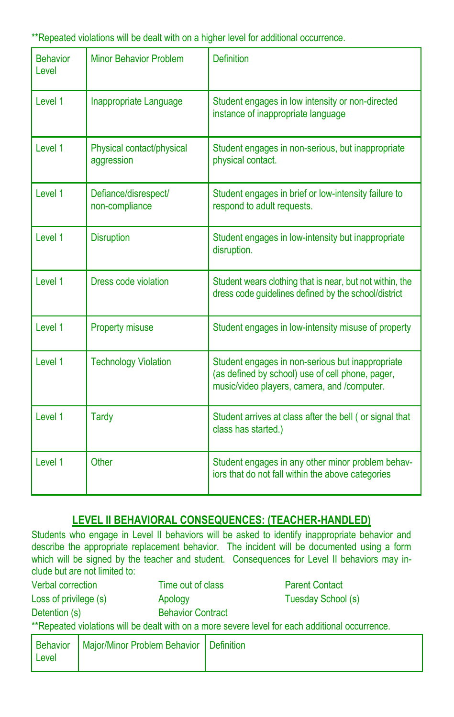| <b>Behavior</b><br>Level | <b>Minor Behavior Problem</b>           | Definition                                                                                                                                          |
|--------------------------|-----------------------------------------|-----------------------------------------------------------------------------------------------------------------------------------------------------|
| Level 1                  | Inappropriate Language                  | Student engages in low intensity or non-directed<br>instance of inappropriate language                                                              |
| I evel 1                 | Physical contact/physical<br>aggression | Student engages in non-serious, but inappropriate<br>physical contact.                                                                              |
| I evel 1                 | Defiance/disrespect/<br>non-compliance  | Student engages in brief or low-intensity failure to<br>respond to adult requests.                                                                  |
| I evel 1                 | <b>Disruption</b>                       | Student engages in low-intensity but inappropriate<br>disruption.                                                                                   |
| I evel 1                 | Dress code violation                    | Student wears clothing that is near, but not within, the<br>dress code guidelines defined by the school/district                                    |
| I evel 1                 | Property misuse                         | Student engages in low-intensity misuse of property                                                                                                 |
| Level 1                  | <b>Technology Violation</b>             | Student engages in non-serious but inappropriate<br>(as defined by school) use of cell phone, pager,<br>music/video players, camera, and /computer. |
| I evel 1                 | <b>Tardy</b>                            | Student arrives at class after the bell (or signal that<br>class has started.)                                                                      |
| Level 1                  | Other                                   | Student engages in any other minor problem behav-<br>iors that do not fall within the above categories                                              |

# **LEVEL II BEHAVIORAL CONSEQUENCES: (TEACHER-HANDLED)**

Students who engage in Level II behaviors will be asked to identify inappropriate behavior and describe the appropriate replacement behavior. The incident will be documented using a form which will be signed by the teacher and student. Consequences for Level II behaviors may include but are not limited to:

| Verbal correction     | Time out of class        | <b>Parent Contact</b>                                                                           |
|-----------------------|--------------------------|-------------------------------------------------------------------------------------------------|
| Loss of privilege (s) | Apology                  | Tuesday School (s)                                                                              |
| Detention (s)         | <b>Behavior Contract</b> |                                                                                                 |
|                       |                          | **Repeated violations will be dealt with on a more severe level for each additional occurrence. |
|                       |                          |                                                                                                 |

|         | Behavior   Major/Minor Problem Behavior   Definition |  |
|---------|------------------------------------------------------|--|
| I Level |                                                      |  |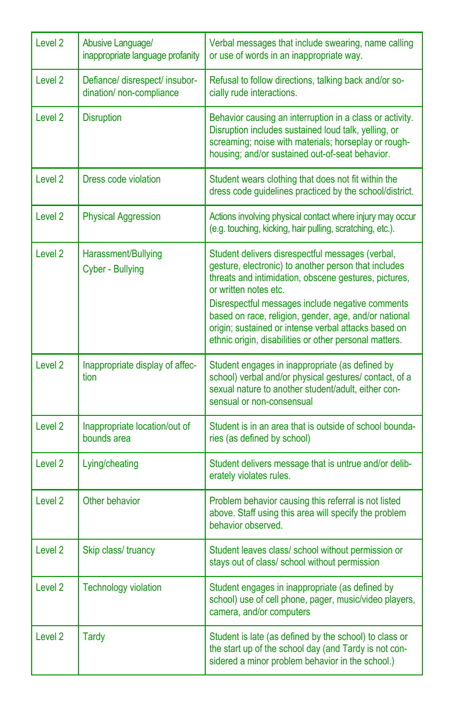| Level <sub>2</sub> | Abusive Language/<br>inappropriate language profanity      | Verbal messages that include swearing, name calling<br>or use of words in an inappropriate way.                                                                                                                                                                                                                                                                                                                           |
|--------------------|------------------------------------------------------------|---------------------------------------------------------------------------------------------------------------------------------------------------------------------------------------------------------------------------------------------------------------------------------------------------------------------------------------------------------------------------------------------------------------------------|
| Level 2            | Defiance/ disrespect/ insubor-<br>dination/ non-compliance | Refusal to follow directions, talking back and/or so-<br>cially rude interactions.                                                                                                                                                                                                                                                                                                                                        |
| Level 2            | <b>Disruption</b>                                          | Behavior causing an interruption in a class or activity.<br>Disruption includes sustained loud talk, yelling, or<br>screaming; noise with materials; horseplay or rough-<br>housing; and/or sustained out-of-seat behavior.                                                                                                                                                                                               |
| Level 2            | Dress code violation                                       | Student wears clothing that does not fit within the<br>dress code guidelines practiced by the school/district.                                                                                                                                                                                                                                                                                                            |
| Level <sub>2</sub> | <b>Physical Aggression</b>                                 | Actions involving physical contact where injury may occur<br>(e.g. touching, kicking, hair pulling, scratching, etc.).                                                                                                                                                                                                                                                                                                    |
| Level 2            | Harassment/Bullying<br><b>Cyber - Bullying</b>             | Student delivers disrespectful messages (verbal,<br>gesture, electronic) to another person that includes<br>threats and intimidation, obscene gestures, pictures,<br>or written notes etc.<br>Disrespectful messages include negative comments<br>based on race, religion, gender, age, and/or national<br>origin; sustained or intense verbal attacks based on<br>ethnic origin, disabilities or other personal matters. |
| Level <sub>2</sub> | Inappropriate display of affec-<br>tion                    | Student engages in inappropriate (as defined by<br>school) verbal and/or physical gestures/ contact, of a<br>sexual nature to another student/adult, either con-<br>sensual or non-consensual                                                                                                                                                                                                                             |
| Level <sub>2</sub> | Inappropriate location/out of<br>bounds area               | Student is in an area that is outside of school bounda-<br>ries (as defined by school)                                                                                                                                                                                                                                                                                                                                    |
| Level <sub>2</sub> | Lying/cheating                                             | Student delivers message that is untrue and/or delib-<br>erately violates rules.                                                                                                                                                                                                                                                                                                                                          |
| Level <sub>2</sub> | Other behavior                                             | Problem behavior causing this referral is not listed<br>above. Staff using this area will specify the problem<br>behavior observed                                                                                                                                                                                                                                                                                        |
| Level <sub>2</sub> | Skip class/ truancy                                        | Student leaves class/ school without permission or<br>stays out of class/ school without permission                                                                                                                                                                                                                                                                                                                       |
| Level <sub>2</sub> | <b>Technology violation</b>                                | Student engages in inappropriate (as defined by<br>school) use of cell phone, pager, music/video players,<br>camera, and/or computers                                                                                                                                                                                                                                                                                     |
| Level <sub>2</sub> | <b>Tardy</b>                                               | Student is late (as defined by the school) to class or<br>the start up of the school day (and Tardy is not con-<br>sidered a minor problem behavior in the school.)                                                                                                                                                                                                                                                       |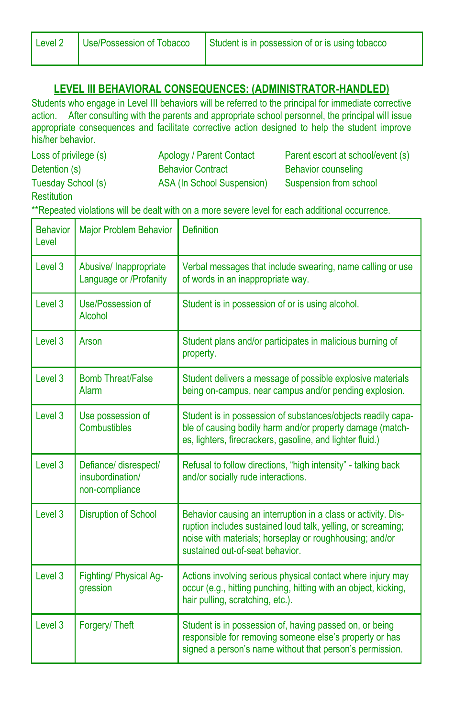# **LEVEL III BEHAVIORAL CONSEQUENCES: (ADMINISTRATOR-HANDLED)**

Students who engage in Level III behaviors will be referred to the principal for immediate corrective action. After consulting with the parents and appropriate school personnel, the principal will issue appropriate consequences and facilitate corrective action designed to help the student improve his/her behavior.

| Loss of privilege (s) | Apology / Parent Contact   | Parent escort at school/event (s) |
|-----------------------|----------------------------|-----------------------------------|
| Detention (s)         | <b>Behavior Contract</b>   | Behavior counseling               |
| Tuesday School (s)    | ASA (In School Suspension) | Suspension from school            |

**Restitution** 

\*\*Repeated violations will be dealt with on a more severe level for each additional occurrence.

| <b>Behavior</b><br>Level | Major Problem Behavior                                      | <b>Definition</b>                                                                                                                                                                                                           |
|--------------------------|-------------------------------------------------------------|-----------------------------------------------------------------------------------------------------------------------------------------------------------------------------------------------------------------------------|
| Level 3                  | Abusive/ Inappropriate<br>Language or /Profanity            | Verbal messages that include swearing, name calling or use<br>of words in an inappropriate way.                                                                                                                             |
| Level 3                  | Use/Possession of<br>Alcohol                                | Student is in possession of or is using alcohol.                                                                                                                                                                            |
| Level 3                  | Arson                                                       | Student plans and/or participates in malicious burning of<br>property.                                                                                                                                                      |
| Level 3                  | <b>Bomb Threat/False</b><br>Alarm                           | Student delivers a message of possible explosive materials<br>being on-campus, near campus and/or pending explosion.                                                                                                        |
| Level 3                  | Use possession of<br>Combustibles                           | Student is in possession of substances/objects readily capa-<br>ble of causing bodily harm and/or property damage (match-<br>es, lighters, firecrackers, gasoline, and lighter fluid.)                                      |
| Level 3                  | Defiance/ disrespect/<br>insubordination/<br>non-compliance | Refusal to follow directions, "high intensity" - talking back<br>and/or socially rude interactions.                                                                                                                         |
| Level 3                  | <b>Disruption of School</b>                                 | Behavior causing an interruption in a class or activity. Dis-<br>ruption includes sustained loud talk, yelling, or screaming;<br>noise with materials; horseplay or roughhousing; and/or<br>sustained out-of-seat behavior. |
| Level 3                  | Fighting/ Physical Ag-<br>gression                          | Actions involving serious physical contact where injury may<br>occur (e.g., hitting punching, hitting with an object, kicking,<br>hair pulling, scratching, etc.).                                                          |
| Level 3                  | Forgery/Theft                                               | Student is in possession of, having passed on, or being<br>responsible for removing someone else's property or has<br>signed a person's name without that person's permission.                                              |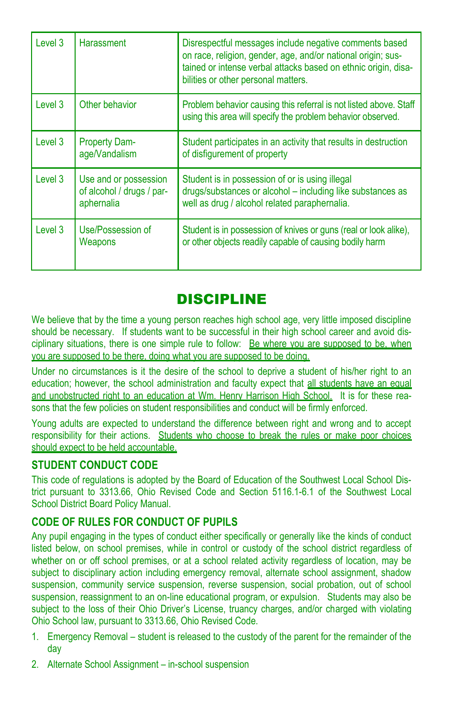| Level 3 | Harassment                                                       | Disrespectful messages include negative comments based<br>on race, religion, gender, age, and/or national origin; sus-<br>tained or intense verbal attacks based on ethnic origin, disa-<br>bilities or other personal matters. |
|---------|------------------------------------------------------------------|---------------------------------------------------------------------------------------------------------------------------------------------------------------------------------------------------------------------------------|
| Level 3 | Other behavior                                                   | Problem behavior causing this referral is not listed above. Staff<br>using this area will specify the problem behavior observed.                                                                                                |
| Level 3 | <b>Property Dam-</b><br>age/Vandalism                            | Student participates in an activity that results in destruction<br>of disfigurement of property                                                                                                                                 |
| level 3 | Use and or possession<br>of alcohol / drugs / par-<br>aphernalia | Student is in possession of or is using illegal<br>drugs/substances or alcohol - including like substances as<br>well as drug / alcohol related paraphernalia.                                                                  |
| level 3 | Use/Possession of<br>Weapons                                     | Student is in possession of knives or guns (real or look alike),<br>or other objects readily capable of causing bodily harm                                                                                                     |

# DISCIPLINE

We believe that by the time a young person reaches high school age, very little imposed discipline should be necessary. If students want to be successful in their high school career and avoid disciplinary situations, there is one simple rule to follow: Be where you are supposed to be, when you are supposed to be there, doing what you are supposed to be doing.

Under no circumstances is it the desire of the school to deprive a student of his/her right to an education; however, the school administration and faculty expect that all students have an equal and unobstructed right to an education at Wm. Henry Harrison High School. It is for these reasons that the few policies on student responsibilities and conduct will be firmly enforced.

Young adults are expected to understand the difference between right and wrong and to accept responsibility for their actions. Students who choose to break the rules or make poor choices should expect to be held accountable.

# **STUDENT CONDUCT CODE**

This code of regulations is adopted by the Board of Education of the Southwest Local School District pursuant to 3313.66, Ohio Revised Code and Section 5116.1-6.1 of the Southwest Local School District Board Policy Manual.

# **CODE OF RULES FOR CONDUCT OF PUPILS**

Any pupil engaging in the types of conduct either specifically or generally like the kinds of conduct listed below, on school premises, while in control or custody of the school district regardless of whether on or off school premises, or at a school related activity regardless of location, may be subject to disciplinary action including emergency removal, alternate school assignment, shadow suspension, community service suspension, reverse suspension, social probation, out of school suspension, reassignment to an on-line educational program, or expulsion. Students may also be subject to the loss of their Ohio Driver's License, truancy charges, and/or charged with violating Ohio School law, pursuant to 3313.66, Ohio Revised Code.

- 1. Emergency Removal student is released to the custody of the parent for the remainder of the day
- 2. Alternate School Assignment in-school suspension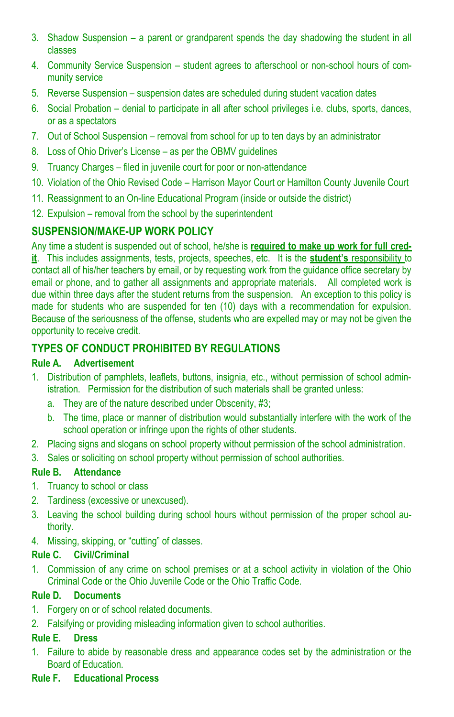- 3. Shadow Suspension a parent or grandparent spends the day shadowing the student in all classes
- 4. Community Service Suspension student agrees to afterschool or non-school hours of community service
- 5. Reverse Suspension suspension dates are scheduled during student vacation dates
- 6. Social Probation denial to participate in all after school privileges i.e. clubs, sports, dances, or as a spectators
- 7. Out of School Suspension removal from school for up to ten days by an administrator
- 8. Loss of Ohio Driver's License as per the OBMV guidelines
- 9. Truancy Charges filed in juvenile court for poor or non-attendance
- 10. Violation of the Ohio Revised Code Harrison Mayor Court or Hamilton County Juvenile Court
- 11. Reassignment to an On-line Educational Program (inside or outside the district)
- 12. Expulsion removal from the school by the superintendent

# **SUSPENSION/MAKE-UP WORK POLICY**

Any time a student is suspended out of school, he/she is **required to make up work for full credit**. This includes assignments, tests, projects, speeches, etc. It is the **student's** responsibility to contact all of his/her teachers by email, or by requesting work from the guidance office secretary by email or phone, and to gather all assignments and appropriate materials. All completed work is due within three days after the student returns from the suspension. An exception to this policy is made for students who are suspended for ten (10) days with a recommendation for expulsion. Because of the seriousness of the offense, students who are expelled may or may not be given the opportunity to receive credit.

# **TYPES OF CONDUCT PROHIBITED BY REGULATIONS**

#### **Rule A. Advertisement**

- 1. Distribution of pamphlets, leaflets, buttons, insignia, etc., without permission of school administration. Permission for the distribution of such materials shall be granted unless:
	- a. They are of the nature described under Obscenity, #3;
	- b. The time, place or manner of distribution would substantially interfere with the work of the school operation or infringe upon the rights of other students.
- 2. Placing signs and slogans on school property without permission of the school administration.
- 3. Sales or soliciting on school property without permission of school authorities.

# **Rule B. Attendance**

- 1. Truancy to school or class
- 2. Tardiness (excessive or unexcused).
- 3. Leaving the school building during school hours without permission of the proper school authority.
- 4. Missing, skipping, or "cutting" of classes.

# **Rule C. Civil/Criminal**

1. Commission of any crime on school premises or at a school activity in violation of the Ohio Criminal Code or the Ohio Juvenile Code or the Ohio Traffic Code.

# **Rule D. Documents**

- 1. Forgery on or of school related documents.
- 2. Falsifying or providing misleading information given to school authorities.

#### **Rule E. Dress**

1. Failure to abide by reasonable dress and appearance codes set by the administration or the Board of Education.

#### **Rule F. Educational Process**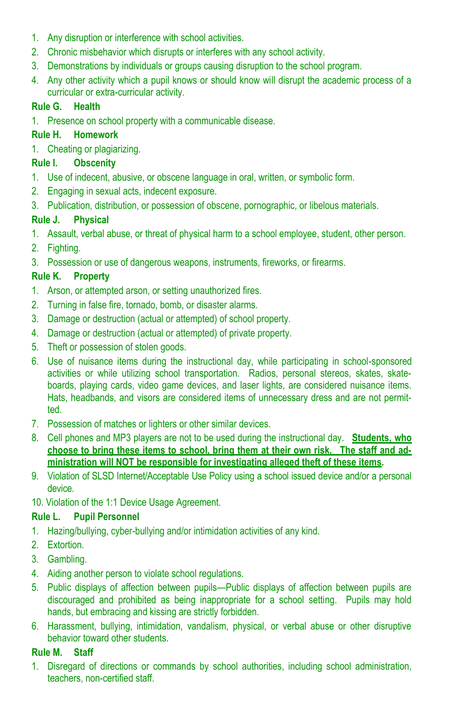- 1. Any disruption or interference with school activities.
- 2. Chronic misbehavior which disrupts or interferes with any school activity.
- 3. Demonstrations by individuals or groups causing disruption to the school program.
- 4. Any other activity which a pupil knows or should know will disrupt the academic process of a curricular or extra-curricular activity.

#### **Rule G. Health**

1. Presence on school property with a communicable disease.

## **Rule H. Homework**

1. Cheating or plagiarizing.

## **Rule I. Obscenity**

- 1. Use of indecent, abusive, or obscene language in oral, written, or symbolic form.
- 2. Engaging in sexual acts, indecent exposure.
- 3. Publication, distribution, or possession of obscene, pornographic, or libelous materials.

### **Rule J. Physical**

- 1. Assault, verbal abuse, or threat of physical harm to a school employee, student, other person.
- 2. Fighting.
- 3. Possession or use of dangerous weapons, instruments, fireworks, or firearms.

### **Rule K. Property**

- 1. Arson, or attempted arson, or setting unauthorized fires.
- 2. Turning in false fire, tornado, bomb, or disaster alarms.
- 3. Damage or destruction (actual or attempted) of school property.
- 4. Damage or destruction (actual or attempted) of private property.
- 5. Theft or possession of stolen goods.
- 6. Use of nuisance items during the instructional day, while participating in school-sponsored activities or while utilizing school transportation. Radios, personal stereos, skates, skateboards, playing cards, video game devices, and laser lights, are considered nuisance items. Hats, headbands, and visors are considered items of unnecessary dress and are not permitted.
- 7. Possession of matches or lighters or other similar devices.
- 8. Cell phones and MP3 players are not to be used during the instructional day. **Students, who choose to bring these items to school, bring them at their own risk. The staff and administration will NOT be responsible for investigating alleged theft of these items.**
- 9. Violation of SLSD Internet/Acceptable Use Policy using a school issued device and/or a personal device.
- 10. Violation of the 1:1 Device Usage Agreement.

#### **Rule L. Pupil Personnel**

- 1. Hazing/bullying, cyber-bullying and/or intimidation activities of any kind.
- 2. Extortion.
- 3. Gambling.
- 4. Aiding another person to violate school regulations.
- 5. Public displays of affection between pupils—Public displays of affection between pupils are discouraged and prohibited as being inappropriate for a school setting. Pupils may hold hands, but embracing and kissing are strictly forbidden.
- 6. Harassment, bullying, intimidation, vandalism, physical, or verbal abuse or other disruptive behavior toward other students.

#### **Rule M. Staff**

1. Disregard of directions or commands by school authorities, including school administration, teachers, non-certified staff.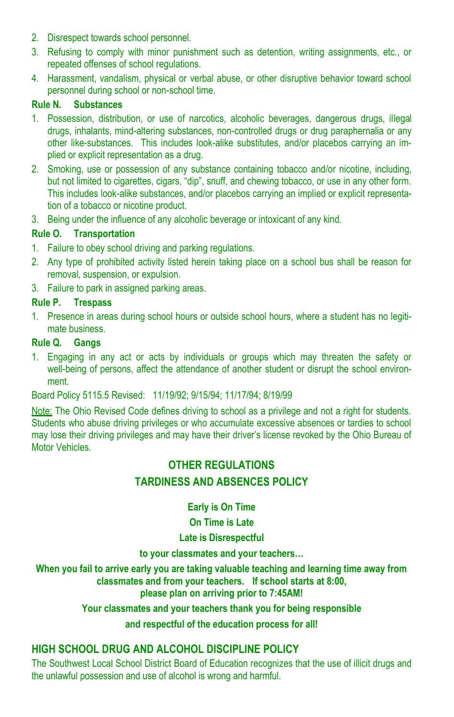- 2. Disrespect towards school personnel.
- 3. Refusing to comply with minor punishment such as detention, writing assignments, etc., or repeated offenses of school regulations.
- 4. Harassment, vandalism, physical or verbal abuse, or other disruptive behavior toward school personnel during school or non-school time.

#### **Rule N. Substances**

- 1. Possession, distribution, or use of narcotics, alcoholic beverages, dangerous drugs, illegal drugs, inhalants, mind-altering substances, non-controlled drugs or drug paraphernalia or any other like-substances. This includes look-alike substitutes, and/or placebos carrying an implied or explicit representation as a drug.
- 2. Smoking, use or possession of any substance containing tobacco and/or nicotine, including, but not limited to cigarettes, cigars, "dip", snuff, and chewing tobacco, or use in any other form. This includes look-alike substances, and/or placebos carrying an implied or explicit representation of a tobacco or nicotine product.
- 3. Being under the influence of any alcoholic beverage or intoxicant of any kind.

#### **Rule O. Transportation**

- 1. Failure to obey school driving and parking regulations.
- 2. Any type of prohibited activity listed herein taking place on a school bus shall be reason for removal, suspension, or expulsion.
- 3. Failure to park in assigned parking areas.

#### **Rule P. Trespass**

1. Presence in areas during school hours or outside school hours, where a student has no legitimate business.

#### **Rule Q. Gangs**

1. Engaging in any act or acts by individuals or groups which may threaten the safety or well-being of persons, affect the attendance of another student or disrupt the school environment.

#### Board Policy 5115.5 Revised: 11/19/92; 9/15/94; 11/17/94; 8/19/99

Note: The Ohio Revised Code defines driving to school as a privilege and not a right for students. Students who abuse driving privileges or who accumulate excessive absences or tardies to school may lose their driving privileges and may have their driver's license revoked by the Ohio Bureau of Motor Vehicles.

# **OTHER REGULATIONS TARDINESS AND ABSENCES POLICY**

#### **Early is On Time**

#### **On Time is Late**

#### **Late is Disrespectful**

#### **to your classmates and your teachers…**

#### **When you fail to arrive early you are taking valuable teaching and learning time away from classmates and from your teachers. If school starts at 8:00, please plan on arriving prior to 7:45AM!**

#### **Your classmates and your teachers thank you for being responsible**

#### **and respectful of the education process for all!**

# **HIGH SCHOOL DRUG AND ALCOHOL DISCIPLINE POLICY**

The Southwest Local School District Board of Education recognizes that the use of illicit drugs and the unlawful possession and use of alcohol is wrong and harmful.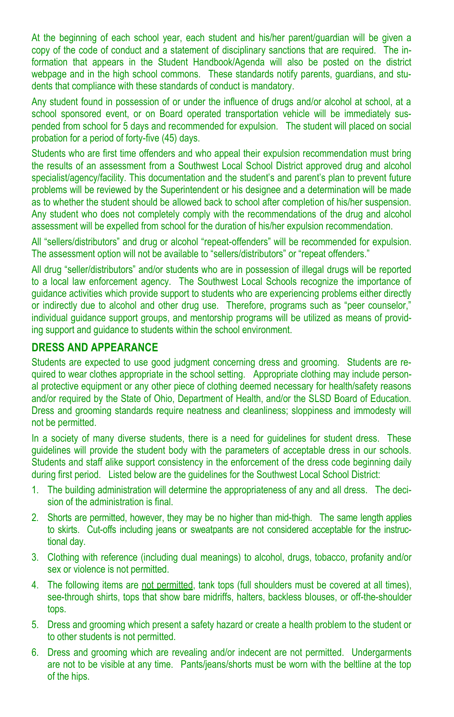At the beginning of each school year, each student and his/her parent/guardian will be given a copy of the code of conduct and a statement of disciplinary sanctions that are required. The information that appears in the Student Handbook/Agenda will also be posted on the district webpage and in the high school commons. These standards notify parents, guardians, and students that compliance with these standards of conduct is mandatory.

Any student found in possession of or under the influence of drugs and/or alcohol at school, at a school sponsored event, or on Board operated transportation vehicle will be immediately suspended from school for 5 days and recommended for expulsion. The student will placed on social probation for a period of forty-five (45) days.

Students who are first time offenders and who appeal their expulsion recommendation must bring the results of an assessment from a Southwest Local School District approved drug and alcohol specialist/agency/facility. This documentation and the student's and parent's plan to prevent future problems will be reviewed by the Superintendent or his designee and a determination will be made as to whether the student should be allowed back to school after completion of his/her suspension. Any student who does not completely comply with the recommendations of the drug and alcohol assessment will be expelled from school for the duration of his/her expulsion recommendation.

All "sellers/distributors" and drug or alcohol "repeat-offenders" will be recommended for expulsion. The assessment option will not be available to "sellers/distributors" or "repeat offenders."

All drug "seller/distributors" and/or students who are in possession of illegal drugs will be reported to a local law enforcement agency. The Southwest Local Schools recognize the importance of guidance activities which provide support to students who are experiencing problems either directly or indirectly due to alcohol and other drug use. Therefore, programs such as "peer counselor," individual guidance support groups, and mentorship programs will be utilized as means of providing support and guidance to students within the school environment.

#### **DRESS AND APPEARANCE**

Students are expected to use good judgment concerning dress and grooming. Students are required to wear clothes appropriate in the school setting. Appropriate clothing may include personal protective equipment or any other piece of clothing deemed necessary for health/safety reasons and/or required by the State of Ohio, Department of Health, and/or the SLSD Board of Education. Dress and grooming standards require neatness and cleanliness; sloppiness and immodesty will not be permitted.

In a society of many diverse students, there is a need for guidelines for student dress. These guidelines will provide the student body with the parameters of acceptable dress in our schools. Students and staff alike support consistency in the enforcement of the dress code beginning daily during first period. Listed below are the guidelines for the Southwest Local School District:

- 1. The building administration will determine the appropriateness of any and all dress. The decision of the administration is final.
- 2. Shorts are permitted, however, they may be no higher than mid-thigh. The same length applies to skirts. Cut-offs including jeans or sweatpants are not considered acceptable for the instructional day.
- 3. Clothing with reference (including dual meanings) to alcohol, drugs, tobacco, profanity and/or sex or violence is not permitted.
- 4. The following items are not permitted, tank tops (full shoulders must be covered at all times), see-through shirts, tops that show bare midriffs, halters, backless blouses, or off-the-shoulder tops.
- 5. Dress and grooming which present a safety hazard or create a health problem to the student or to other students is not permitted.
- 6. Dress and grooming which are revealing and/or indecent are not permitted. Undergarments are not to be visible at any time. Pants/jeans/shorts must be worn with the beltline at the top of the hips.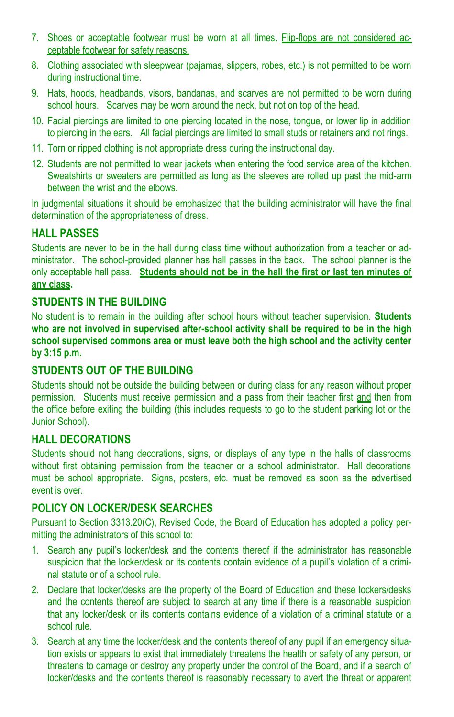- 7. Shoes or acceptable footwear must be worn at all times. Flip-flops are not considered acceptable footwear for safety reasons.
- 8. Clothing associated with sleepwear (pajamas, slippers, robes, etc.) is not permitted to be worn during instructional time.
- 9. Hats, hoods, headbands, visors, bandanas, and scarves are not permitted to be worn during school hours. Scarves may be worn around the neck, but not on top of the head.
- 10. Facial piercings are limited to one piercing located in the nose, tongue, or lower lip in addition to piercing in the ears. All facial piercings are limited to small studs or retainers and not rings.
- 11. Torn or ripped clothing is not appropriate dress during the instructional day.
- 12. Students are not permitted to wear jackets when entering the food service area of the kitchen. Sweatshirts or sweaters are permitted as long as the sleeves are rolled up past the mid-arm between the wrist and the elbows.

In judgmental situations it should be emphasized that the building administrator will have the final determination of the appropriateness of dress.

### **HALL PASSES**

Students are never to be in the hall during class time without authorization from a teacher or administrator. The school-provided planner has hall passes in the back. The school planner is the only acceptable hall pass. **Students should not be in the hall the first or last ten minutes of any class.**

# **STUDENTS IN THE BUILDING**

No student is to remain in the building after school hours without teacher supervision. **Students who are not involved in supervised after-school activity shall be required to be in the high school supervised commons area or must leave both the high school and the activity center by 3:15 p.m.**

#### **STUDENTS OUT OF THE BUILDING**

Students should not be outside the building between or during class for any reason without proper permission. Students must receive permission and a pass from their teacher first and then from the office before exiting the building (this includes requests to go to the student parking lot or the Junior School).

## **HALL DECORATIONS**

Students should not hang decorations, signs, or displays of any type in the halls of classrooms without first obtaining permission from the teacher or a school administrator. Hall decorations must be school appropriate. Signs, posters, etc. must be removed as soon as the advertised event is over.

# **POLICY ON LOCKER/DESK SEARCHES**

Pursuant to Section 3313.20(C), Revised Code, the Board of Education has adopted a policy permitting the administrators of this school to:

- 1. Search any pupil's locker/desk and the contents thereof if the administrator has reasonable suspicion that the locker/desk or its contents contain evidence of a pupil's violation of a criminal statute or of a school rule.
- 2. Declare that locker/desks are the property of the Board of Education and these lockers/desks and the contents thereof are subject to search at any time if there is a reasonable suspicion that any locker/desk or its contents contains evidence of a violation of a criminal statute or a school rule.
- 3. Search at any time the locker/desk and the contents thereof of any pupil if an emergency situation exists or appears to exist that immediately threatens the health or safety of any person, or threatens to damage or destroy any property under the control of the Board, and if a search of locker/desks and the contents thereof is reasonably necessary to avert the threat or apparent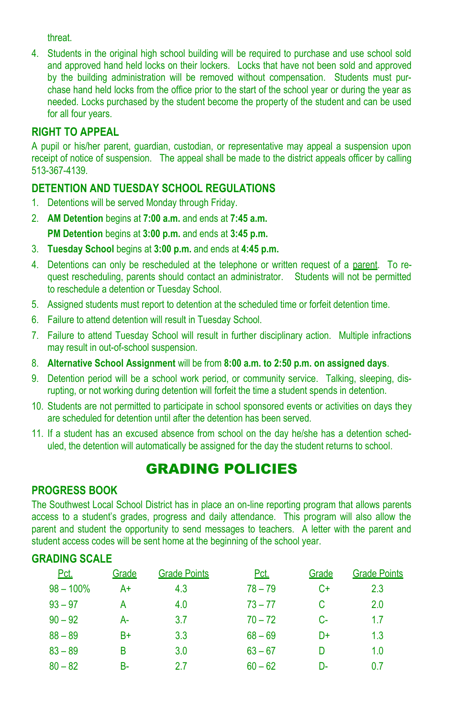threat.

4. Students in the original high school building will be required to purchase and use school sold and approved hand held locks on their lockers. Locks that have not been sold and approved by the building administration will be removed without compensation. Students must purchase hand held locks from the office prior to the start of the school year or during the year as needed. Locks purchased by the student become the property of the student and can be used for all four years.

# **RIGHT TO APPEAL**

A pupil or his/her parent, guardian, custodian, or representative may appeal a suspension upon receipt of notice of suspension. The appeal shall be made to the district appeals officer by calling 513-367-4139.

# **DETENTION AND TUESDAY SCHOOL REGULATIONS**

- 1. Detentions will be served Monday through Friday.
- 2. **AM Detention** begins at **7:00 a.m.** and ends at **7:45 a.m. PM Detention** begins at **3:00 p.m.** and ends at **3:45 p.m.**
- 3. **Tuesday School** begins at **3:00 p.m.** and ends at **4:45 p.m.**
- 4. Detentions can only be rescheduled at the telephone or written request of a parent. To request rescheduling, parents should contact an administrator. Students will not be permitted to reschedule a detention or Tuesday School.
- 5. Assigned students must report to detention at the scheduled time or forfeit detention time.
- 6. Failure to attend detention will result in Tuesday School.
- 7. Failure to attend Tuesday School will result in further disciplinary action. Multiple infractions may result in out-of-school suspension.
- 8. **Alternative School Assignment** will be from **8:00 a.m. to 2:50 p.m. on assigned days**.
- 9. Detention period will be a school work period, or community service. Talking, sleeping, disrupting, or not working during detention will forfeit the time a student spends in detention.
- 10. Students are not permitted to participate in school sponsored events or activities on days they are scheduled for detention until after the detention has been served.
- 11. If a student has an excused absence from school on the day he/she has a detention scheduled, the detention will automatically be assigned for the day the student returns to school.

# GRADING POLICIES

#### **PROGRESS BOOK**

The Southwest Local School District has in place an on-line reporting program that allows parents access to a student's grades, progress and daily attendance. This program will also allow the parent and student the opportunity to send messages to teachers. A letter with the parent and student access codes will be sent home at the beginning of the school year.

## **GRADING SCALE**

| Pct.         | Grade | <b>Grade Points</b> | Pct.      | Grade | <b>Grade Points</b> |
|--------------|-------|---------------------|-----------|-------|---------------------|
| $98 - 100\%$ | A+    | 4.3                 | $78 - 79$ | C+    | 2.3                 |
| $93 - 97$    | А     | 4.0                 | $73 - 77$ | C     | 2.0                 |
| $90 - 92$    | А-    | 3.7                 | $70 - 72$ | С-    | 1.7                 |
| $88 - 89$    | B+    | 3.3                 | $68 - 69$ | D+    | 1.3                 |
| $83 - 89$    | в     | 3.0                 | $63 - 67$ | D     | 1.0                 |
| $80 - 82$    | B-    | 27                  | $60 - 62$ | D-    | 0.7                 |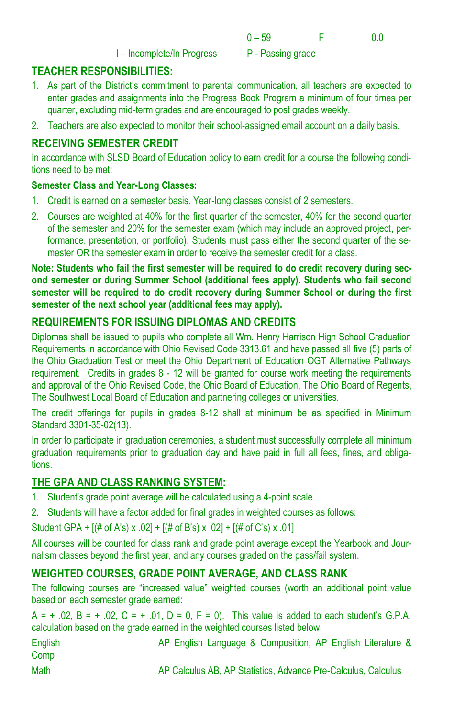#### I – Incomplete/In Progress P - Passing grade

## **TEACHER RESPONSIBILITIES:**

- 1. As part of the District's commitment to parental communication, all teachers are expected to enter grades and assignments into the Progress Book Program a minimum of four times per quarter, excluding mid-term grades and are encouraged to post grades weekly.
- 2. Teachers are also expected to monitor their school-assigned email account on a daily basis.

# **RECEIVING SEMESTER CREDIT**

In accordance with SLSD Board of Education policy to earn credit for a course the following conditions need to be met:

#### **Semester Class and Year-Long Classes:**

- 1. Credit is earned on a semester basis. Year-long classes consist of 2 semesters.
- 2. Courses are weighted at 40% for the first quarter of the semester, 40% for the second quarter of the semester and 20% for the semester exam (which may include an approved project, performance, presentation, or portfolio). Students must pass either the second quarter of the semester OR the semester exam in order to receive the semester credit for a class.

**Note: Students who fail the first semester will be required to do credit recovery during second semester or during Summer School (additional fees apply). Students who fail second semester will be required to do credit recovery during Summer School or during the first semester of the next school year (additional fees may apply).** 

# **REQUIREMENTS FOR ISSUING DIPLOMAS AND CREDITS**

Diplomas shall be issued to pupils who complete all Wm. Henry Harrison High School Graduation Requirements in accordance with Ohio Revised Code 3313.61 and have passed all five (5) parts of the Ohio Graduation Test or meet the Ohio Department of Education OGT Alternative Pathways requirement. Credits in grades 8 - 12 will be granted for course work meeting the requirements and approval of the Ohio Revised Code, the Ohio Board of Education, The Ohio Board of Regents, The Southwest Local Board of Education and partnering colleges or universities.

The credit offerings for pupils in grades 8-12 shall at minimum be as specified in Minimum Standard 3301-35-02(13).

In order to participate in graduation ceremonies, a student must successfully complete all minimum graduation requirements prior to graduation day and have paid in full all fees, fines, and obligations.

#### **THE GPA AND CLASS RANKING SYSTEM:**

- 1. Student's grade point average will be calculated using a 4-point scale.
- 2. Students will have a factor added for final grades in weighted courses as follows:

Student GPA + [(# of A's) x .02] + [(# of B's) x .02] + [(# of C's) x .01]

All courses will be counted for class rank and grade point average except the Yearbook and Journalism classes beyond the first year, and any courses graded on the pass/fail system.

# **WEIGHTED COURSES, GRADE POINT AVERAGE, AND CLASS RANK**

The following courses are "increased value" weighted courses (worth an additional point value based on each semester grade earned:

 $A = + .02$ ,  $B = + .02$ ,  $C = + .01$ ,  $D = 0$ ,  $F = 0$ ). This value is added to each student's G.P.A. calculation based on the grade earned in the weighted courses listed below.

| English<br>Comp | AP English Language & Composition, AP English Literature &    |
|-----------------|---------------------------------------------------------------|
| Math            | AP Calculus AB, AP Statistics, Advance Pre-Calculus, Calculus |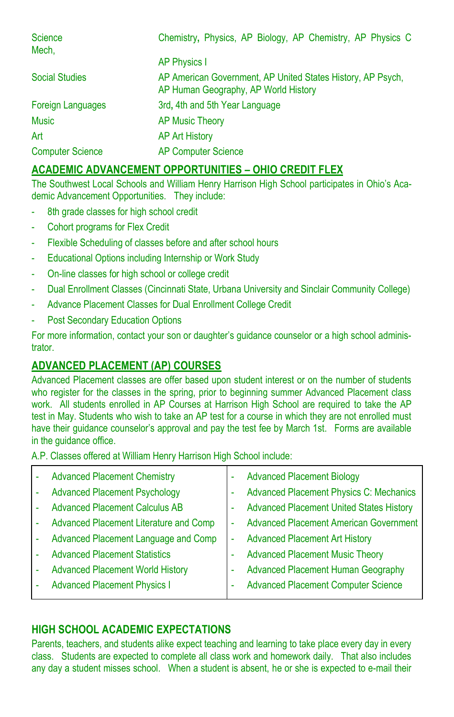| Science<br>Mech.         | Chemistry, Physics, AP Biology, AP Chemistry, AP Physics C                                          |
|--------------------------|-----------------------------------------------------------------------------------------------------|
|                          | <b>AP Physics I</b>                                                                                 |
| <b>Social Studies</b>    | AP American Government, AP United States History, AP Psych,<br>AP Human Geography, AP World History |
| <b>Foreign Languages</b> | 3rd, 4th and 5th Year Language                                                                      |
| <b>Music</b>             | AP Music Theory                                                                                     |
| Art                      | <b>AP Art History</b>                                                                               |
| <b>Computer Science</b>  | <b>AP Computer Science</b>                                                                          |

### **ACADEMIC ADVANCEMENT OPPORTUNITIES – OHIO CREDIT FLEX**

The Southwest Local Schools and William Henry Harrison High School participates in Ohio's Academic Advancement Opportunities. They include:

- 8th grade classes for high school credit
- Cohort programs for Flex Credit
- Flexible Scheduling of classes before and after school hours
- Educational Options including Internship or Work Study
- On-line classes for high school or college credit
- Dual Enrollment Classes (Cincinnati State, Urbana University and Sinclair Community College)
- Advance Placement Classes for Dual Enrollment College Credit
- Post Secondary Education Options

For more information, contact your son or daughter's guidance counselor or a high school administrator.

#### **ADVANCED PLACEMENT (AP) COURSES**

Advanced Placement classes are offer based upon student interest or on the number of students who register for the classes in the spring, prior to beginning summer Advanced Placement class work. All students enrolled in AP Courses at Harrison High School are required to take the AP test in May. Students who wish to take an AP test for a course in which they are not enrolled must have their guidance counselor's approval and pay the test fee by March 1st. Forms are available in the guidance office.

A.P. Classes offered at William Henry Harrison High School include:

| <b>Advanced Placement Chemistry</b>     |   | <b>Advanced Placement Biology</b>               |
|-----------------------------------------|---|-------------------------------------------------|
| <b>Advanced Placement Psychology</b>    |   | Advanced Placement Physics C: Mechanics         |
| <b>Advanced Placement Calculus AB</b>   |   | <b>Advanced Placement United States History</b> |
| Advanced Placement Literature and Comp  |   | <b>Advanced Placement American Government</b>   |
| Advanced Placement Language and Comp    | ٠ | <b>Advanced Placement Art History</b>           |
| <b>Advanced Placement Statistics</b>    |   | <b>Advanced Placement Music Theory</b>          |
| <b>Advanced Placement World History</b> |   | <b>Advanced Placement Human Geography</b>       |
| <b>Advanced Placement Physics I</b>     |   | <b>Advanced Placement Computer Science</b>      |
|                                         |   |                                                 |

# **HIGH SCHOOL ACADEMIC EXPECTATIONS**

Parents, teachers, and students alike expect teaching and learning to take place every day in every class. Students are expected to complete all class work and homework daily. That also includes any day a student misses school. When a student is absent, he or she is expected to e-mail their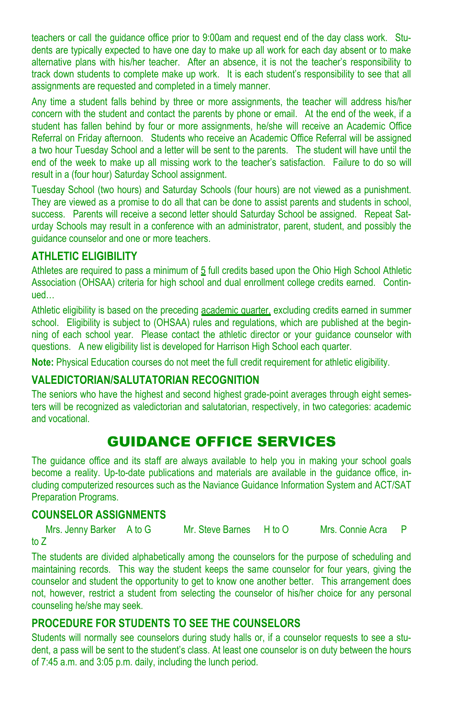teachers or call the guidance office prior to 9:00am and request end of the day class work. Students are typically expected to have one day to make up all work for each day absent or to make alternative plans with his/her teacher. After an absence, it is not the teacher's responsibility to track down students to complete make up work. It is each student's responsibility to see that all assignments are requested and completed in a timely manner.

Any time a student falls behind by three or more assignments, the teacher will address his/her concern with the student and contact the parents by phone or email. At the end of the week, if a student has fallen behind by four or more assignments, he/she will receive an Academic Office Referral on Friday afternoon. Students who receive an Academic Office Referral will be assigned a two hour Tuesday School and a letter will be sent to the parents. The student will have until the end of the week to make up all missing work to the teacher's satisfaction. Failure to do so will result in a (four hour) Saturday School assignment.

Tuesday School (two hours) and Saturday Schools (four hours) are not viewed as a punishment. They are viewed as a promise to do all that can be done to assist parents and students in school, success. Parents will receive a second letter should Saturday School be assigned. Repeat Saturday Schools may result in a conference with an administrator, parent, student, and possibly the guidance counselor and one or more teachers.

### **ATHLETIC ELIGIBILITY**

Athletes are required to pass a minimum of 5 full credits based upon the Ohio High School Athletic Association (OHSAA) criteria for high school and dual enrollment college credits earned. Continued…

Athletic eligibility is based on the preceding academic quarter, excluding credits earned in summer school. Eligibility is subject to (OHSAA) rules and regulations, which are published at the beginning of each school year. Please contact the athletic director or your guidance counselor with questions. A new eligibility list is developed for Harrison High School each quarter.

**Note:** Physical Education courses do not meet the full credit requirement for athletic eligibility.

## **VALEDICTORIAN/SALUTATORIAN RECOGNITION**

The seniors who have the highest and second highest grade-point averages through eight semesters will be recognized as valedictorian and salutatorian, respectively, in two categories: academic and vocational.

# GUIDANCE OFFICE SERVICES

The guidance office and its staff are always available to help you in making your school goals become a reality. Up-to-date publications and materials are available in the guidance office, including computerized resources such as the Naviance Guidance Information System and ACT/SAT Preparation Programs.

# **COUNSELOR ASSIGNMENTS**

Mrs. Jenny Barker A to G Mr. Steve Barnes H to O Mrs. Connie Acra P to Z

The students are divided alphabetically among the counselors for the purpose of scheduling and maintaining records. This way the student keeps the same counselor for four years, giving the counselor and student the opportunity to get to know one another better. This arrangement does not, however, restrict a student from selecting the counselor of his/her choice for any personal counseling he/she may seek.

# **PROCEDURE FOR STUDENTS TO SEE THE COUNSELORS**

Students will normally see counselors during study halls or, if a counselor requests to see a student, a pass will be sent to the student's class. At least one counselor is on duty between the hours of 7:45 a.m. and 3:05 p.m. daily, including the lunch period.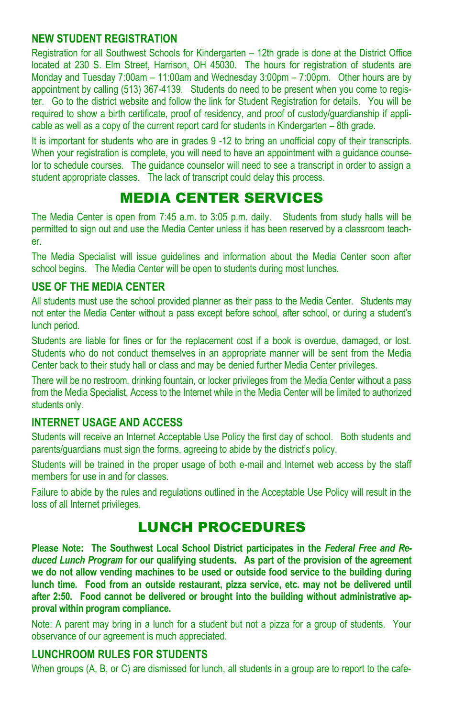## **NEW STUDENT REGISTRATION**

Registration for all Southwest Schools for Kindergarten – 12th grade is done at the District Office located at 230 S. Elm Street, Harrison, OH 45030. The hours for registration of students are Monday and Tuesday 7:00am – 11:00am and Wednesday 3:00pm – 7:00pm. Other hours are by appointment by calling (513) 367-4139. Students do need to be present when you come to register. Go to the district website and follow the link for Student Registration for details. You will be required to show a birth certificate, proof of residency, and proof of custody/guardianship if applicable as well as a copy of the current report card for students in Kindergarten – 8th grade.

It is important for students who are in grades 9 -12 to bring an unofficial copy of their transcripts. When your registration is complete, you will need to have an appointment with a quidance counselor to schedule courses. The guidance counselor will need to see a transcript in order to assign a student appropriate classes. The lack of transcript could delay this process.

# MEDIA CENTER SERVICES

The Media Center is open from 7:45 a.m. to 3:05 p.m. daily. Students from study halls will be permitted to sign out and use the Media Center unless it has been reserved by a classroom teacher.

The Media Specialist will issue guidelines and information about the Media Center soon after school begins. The Media Center will be open to students during most lunches.

# **USE OF THE MEDIA CENTER**

All students must use the school provided planner as their pass to the Media Center. Students may not enter the Media Center without a pass except before school, after school, or during a student's lunch period.

Students are liable for fines or for the replacement cost if a book is overdue, damaged, or lost. Students who do not conduct themselves in an appropriate manner will be sent from the Media Center back to their study hall or class and may be denied further Media Center privileges.

There will be no restroom, drinking fountain, or locker privileges from the Media Center without a pass from the Media Specialist. Access to the Internet while in the Media Center will be limited to authorized students only.

# **INTERNET USAGE AND ACCESS**

Students will receive an Internet Acceptable Use Policy the first day of school. Both students and parents/guardians must sign the forms, agreeing to abide by the district's policy.

Students will be trained in the proper usage of both e-mail and Internet web access by the staff members for use in and for classes.

Failure to abide by the rules and regulations outlined in the Acceptable Use Policy will result in the loss of all Internet privileges.

# LUNCH PROCEDURES

Please Note: The Southwest Local School District participates in the Federal Free and Re*duced Lunch Program* **for our qualifying students. As part of the provision of the agreement we do not allow vending machines to be used or outside food service to the building during lunch time. Food from an outside restaurant, pizza service, etc. may not be delivered until after 2:50. Food cannot be delivered or brought into the building without administrative approval within program compliance.**

Note: A parent may bring in a lunch for a student but not a pizza for a group of students. Your observance of our agreement is much appreciated.

# **LUNCHROOM RULES FOR STUDENTS**

When groups (A, B, or C) are dismissed for lunch, all students in a group are to report to the cafe-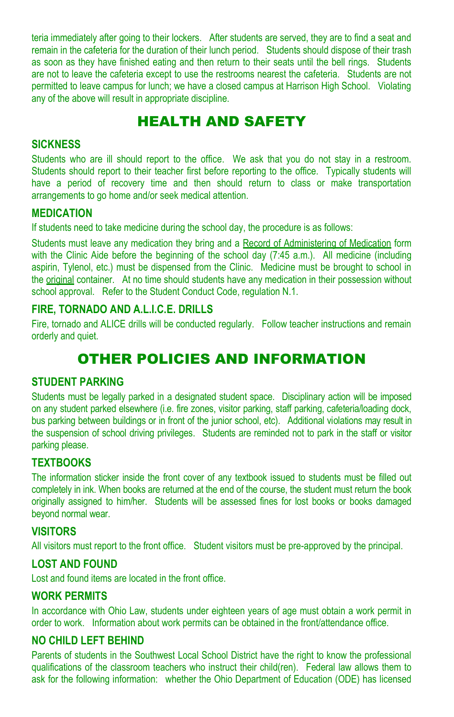teria immediately after going to their lockers. After students are served, they are to find a seat and remain in the cafeteria for the duration of their lunch period. Students should dispose of their trash as soon as they have finished eating and then return to their seats until the bell rings. Students are not to leave the cafeteria except to use the restrooms nearest the cafeteria. Students are not permitted to leave campus for lunch; we have a closed campus at Harrison High School. Violating any of the above will result in appropriate discipline.

# HEALTH AND SAFETY

## **SICKNESS**

Students who are ill should report to the office. We ask that you do not stay in a restroom. Students should report to their teacher first before reporting to the office. Typically students will have a period of recovery time and then should return to class or make transportation arrangements to go home and/or seek medical attention.

# **MEDICATION**

If students need to take medicine during the school day, the procedure is as follows:

Students must leave any medication they bring and a Record of Administering of Medication form with the Clinic Aide before the beginning of the school day (7:45 a.m.). All medicine (including aspirin, Tylenol, etc.) must be dispensed from the Clinic. Medicine must be brought to school in the original container. At no time should students have any medication in their possession without school approval. Refer to the Student Conduct Code, regulation N.1.

## **FIRE, TORNADO AND A.L.I.C.E. DRILLS**

Fire, tornado and ALICE drills will be conducted regularly. Follow teacher instructions and remain orderly and quiet.

# OTHER POLICIES AND INFORMATION

#### **STUDENT PARKING**

Students must be legally parked in a designated student space. Disciplinary action will be imposed on any student parked elsewhere (i.e. fire zones, visitor parking, staff parking, cafeteria/loading dock, bus parking between buildings or in front of the junior school, etc). Additional violations may result in the suspension of school driving privileges. Students are reminded not to park in the staff or visitor parking please.

# **TEXTBOOKS**

The information sticker inside the front cover of any textbook issued to students must be filled out completely in ink. When books are returned at the end of the course, the student must return the book originally assigned to him/her. Students will be assessed fines for lost books or books damaged beyond normal wear.

#### **VISITORS**

All visitors must report to the front office. Student visitors must be pre-approved by the principal.

#### **LOST AND FOUND**

Lost and found items are located in the front office.

#### **WORK PERMITS**

In accordance with Ohio Law, students under eighteen years of age must obtain a work permit in order to work. Information about work permits can be obtained in the front/attendance office.

# **NO CHILD LEFT BEHIND**

Parents of students in the Southwest Local School District have the right to know the professional qualifications of the classroom teachers who instruct their child(ren). Federal law allows them to ask for the following information: whether the Ohio Department of Education (ODE) has licensed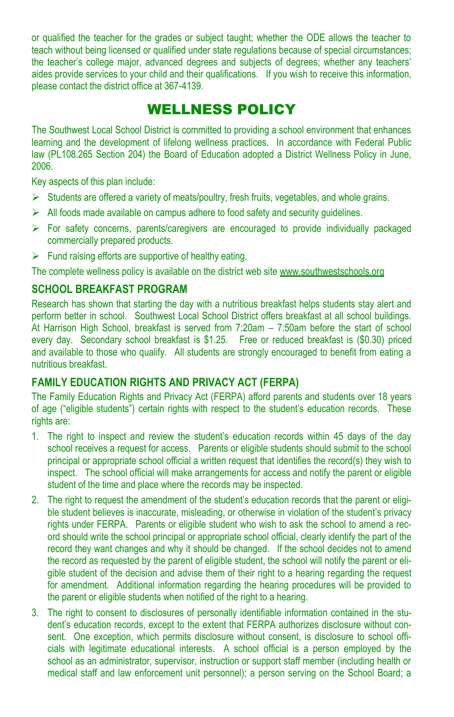or qualified the teacher for the grades or subject taught; whether the ODE allows the teacher to teach without being licensed or qualified under state regulations because of special circumstances; the teacher's college major, advanced degrees and subjects of degrees; whether any teachers' aides provide services to your child and their qualifications. If you wish to receive this information, please contact the district office at 367-4139.

# WELLNESS POLICY

The Southwest Local School District is committed to providing a school environment that enhances learning and the development of lifelong wellness practices. In accordance with Federal Public law (PL108.265 Section 204) the Board of Education adopted a District Wellness Policy in June, 2006.

Key aspects of this plan include:

- ➢ Students are offered a variety of meats/poultry, fresh fruits, vegetables, and whole grains.
- $\triangleright$  All foods made available on campus adhere to food safety and security quidelines.
- $\triangleright$  For safety concerns, parents/caregivers are encouraged to provide individually packaged commercially prepared products.
- $\triangleright$  Fund raising efforts are supportive of healthy eating.

The complete wellness policy is available on the district web site www.southwestschools.org

### **SCHOOL BREAKFAST PROGRAM**

Research has shown that starting the day with a nutritious breakfast helps students stay alert and perform better in school. Southwest Local School District offers breakfast at all school buildings. At Harrison High School, breakfast is served from 7:20am – 7:50am before the start of school every day. Secondary school breakfast is \$1.25. Free or reduced breakfast is (\$0.30) priced and available to those who qualify. All students are strongly encouraged to benefit from eating a nutritious breakfast.

# **FAMILY EDUCATION RIGHTS AND PRIVACY ACT (FERPA)**

The Family Education Rights and Privacy Act (FERPA) afford parents and students over 18 years of age ("eligible students") certain rights with respect to the student's education records. These rights are:

- 1. The right to inspect and review the student's education records within 45 days of the day school receives a request for access. Parents or eligible students should submit to the school principal or appropriate school official a written request that identifies the record(s) they wish to inspect. The school official will make arrangements for access and notify the parent or eligible student of the time and place where the records may be inspected.
- 2. The right to request the amendment of the student's education records that the parent or eligible student believes is inaccurate, misleading, or otherwise in violation of the student's privacy rights under FERPA. Parents or eligible student who wish to ask the school to amend a record should write the school principal or appropriate school official, clearly identify the part of the record they want changes and why it should be changed. If the school decides not to amend the record as requested by the parent of eligible student, the school will notify the parent or eligible student of the decision and advise them of their right to a hearing regarding the request for amendment. Additional information regarding the hearing procedures will be provided to the parent or eligible students when notified of the right to a hearing.
- 3. The right to consent to disclosures of personally identifiable information contained in the student's education records, except to the extent that FERPA authorizes disclosure without consent. One exception, which permits disclosure without consent, is disclosure to school officials with legitimate educational interests. A school official is a person employed by the school as an administrator, supervisor, instruction or support staff member (including health or medical staff and law enforcement unit personnel); a person serving on the School Board; a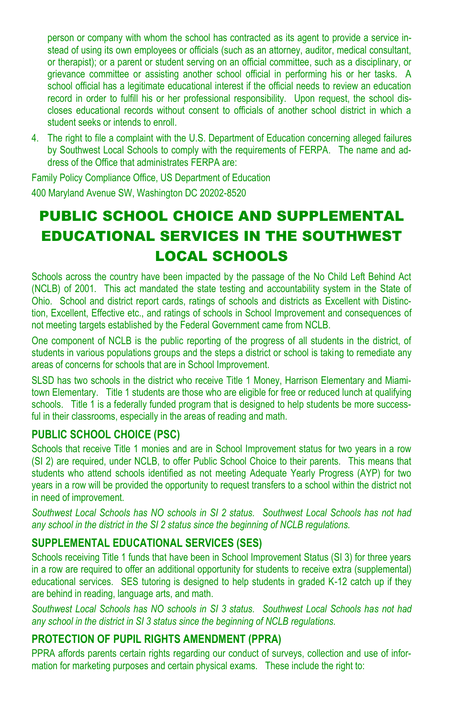person or company with whom the school has contracted as its agent to provide a service instead of using its own employees or officials (such as an attorney, auditor, medical consultant, or therapist); or a parent or student serving on an official committee, such as a disciplinary, or grievance committee or assisting another school official in performing his or her tasks. A school official has a legitimate educational interest if the official needs to review an education record in order to fulfill his or her professional responsibility. Upon request, the school discloses educational records without consent to officials of another school district in which a student seeks or intends to enroll.

4. The right to file a complaint with the U.S. Department of Education concerning alleged failures by Southwest Local Schools to comply with the requirements of FERPA. The name and address of the Office that administrates FERPA are:

Family Policy Compliance Office, US Department of Education

400 Maryland Avenue SW, Washington DC 20202-8520

# PUBLIC SCHOOL CHOICE AND SUPPLEMENTAL EDUCATIONAL SERVICES IN THE SOUTHWEST LOCAL SCHOOLS

Schools across the country have been impacted by the passage of the No Child Left Behind Act (NCLB) of 2001. This act mandated the state testing and accountability system in the State of Ohio. School and district report cards, ratings of schools and districts as Excellent with Distinction, Excellent, Effective etc., and ratings of schools in School Improvement and consequences of not meeting targets established by the Federal Government came from NCLB.

One component of NCLB is the public reporting of the progress of all students in the district, of students in various populations groups and the steps a district or school is taking to remediate any areas of concerns for schools that are in School Improvement.

SLSD has two schools in the district who receive Title 1 Money, Harrison Elementary and Miamitown Elementary. Title 1 students are those who are eligible for free or reduced lunch at qualifying schools. Title 1 is a federally funded program that is designed to help students be more successful in their classrooms, especially in the areas of reading and math.

# **PUBLIC SCHOOL CHOICE (PSC)**

Schools that receive Title 1 monies and are in School Improvement status for two years in a row (SI 2) are required, under NCLB, to offer Public School Choice to their parents. This means that students who attend schools identified as not meeting Adequate Yearly Progress (AYP) for two years in a row will be provided the opportunity to request transfers to a school within the district not in need of improvement.

*Southwest Local Schools has NO schools in SI 2 status. Southwest Local Schools has not had any school in the district in the SI 2 status since the beginning of NCLB regulations.*

# **SUPPLEMENTAL EDUCATIONAL SERVICES (SES)**

Schools receiving Title 1 funds that have been in School Improvement Status (SI 3) for three years in a row are required to offer an additional opportunity for students to receive extra (supplemental) educational services. SES tutoring is designed to help students in graded K-12 catch up if they are behind in reading, language arts, and math.

*Southwest Local Schools has NO schools in SI 3 status. Southwest Local Schools has not had any school in the district in SI 3 status since the beginning of NCLB regulations.*

# **PROTECTION OF PUPIL RIGHTS AMENDMENT (PPRA)**

PPRA affords parents certain rights regarding our conduct of surveys, collection and use of information for marketing purposes and certain physical exams. These include the right to: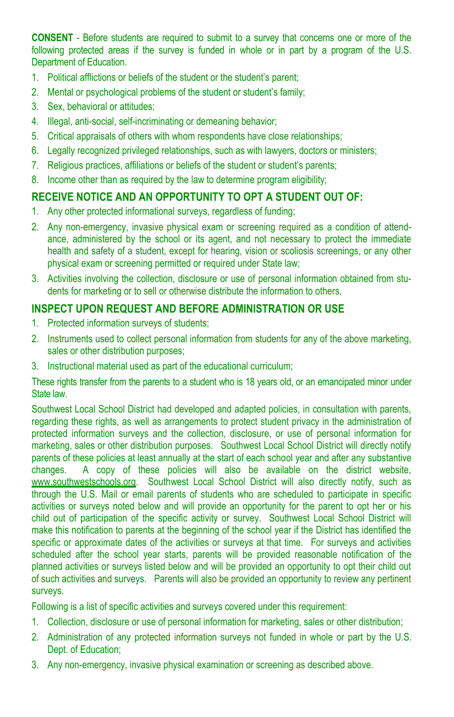**CONSENT** - Before students are required to submit to a survey that concerns one or more of the following protected areas if the survey is funded in whole or in part by a program of the U.S. Department of Education.

- 1. Political afflictions or beliefs of the student or the student's parent;
- 2. Mental or psychological problems of the student or student's family;
- 3. Sex, behavioral or attitudes;
- 4. Illegal, anti-social, self-incriminating or demeaning behavior;
- 5. Critical appraisals of others with whom respondents have close relationships;
- 6. Legally recognized privileged relationships, such as with lawyers, doctors or ministers;
- 7. Religious practices, affiliations or beliefs of the student or student's parents;
- 8. Income other than as required by the law to determine program eligibility;

# **RECEIVE NOTICE AND AN OPPORTUNITY TO OPT A STUDENT OUT OF:**

- 1. Any other protected informational surveys, regardless of funding;
- 2. Any non-emergency, invasive physical exam or screening required as a condition of attendance, administered by the school or its agent, and not necessary to protect the immediate health and safety of a student, except for hearing, vision or scoliosis screenings, or any other physical exam or screening permitted or required under State law;
- 3. Activities involving the collection, disclosure or use of personal information obtained from students for marketing or to sell or otherwise distribute the information to others.

# **INSPECT UPON REQUEST AND BEFORE ADMINISTRATION OR USE**

- 1. Protected information surveys of students;
- 2. Instruments used to collect personal information from students for any of the above marketing, sales or other distribution purposes;
- 3. Instructional material used as part of the educational curriculum;

These rights transfer from the parents to a student who is 18 years old, or an emancipated minor under State law.

Southwest Local School District had developed and adapted policies, in consultation with parents, regarding these rights, as well as arrangements to protect student privacy in the administration of protected information surveys and the collection, disclosure, or use of personal information for marketing, sales or other distribution purposes. Southwest Local School District will directly notify parents of these policies at least annually at the start of each school year and after any substantive changes. A copy of these policies will also be available on the district website, www.southwestschools.org. Southwest Local School District will also directly notify, such as through the U.S. Mail or email parents of students who are scheduled to participate in specific activities or surveys noted below and will provide an opportunity for the parent to opt her or his child out of participation of the specific activity or survey. Southwest Local School District will make this notification to parents at the beginning of the school year if the District has identified the specific or approximate dates of the activities or surveys at that time. For surveys and activities scheduled after the school year starts, parents will be provided reasonable notification of the planned activities or surveys listed below and will be provided an opportunity to opt their child out of such activities and surveys. Parents will also be provided an opportunity to review any pertinent surveys.

Following is a list of specific activities and surveys covered under this requirement:

- 1. Collection, disclosure or use of personal information for marketing, sales or other distribution;
- 2. Administration of any protected information surveys not funded in whole or part by the U.S. Dept. of Education:
- 3. Any non-emergency, invasive physical examination or screening as described above.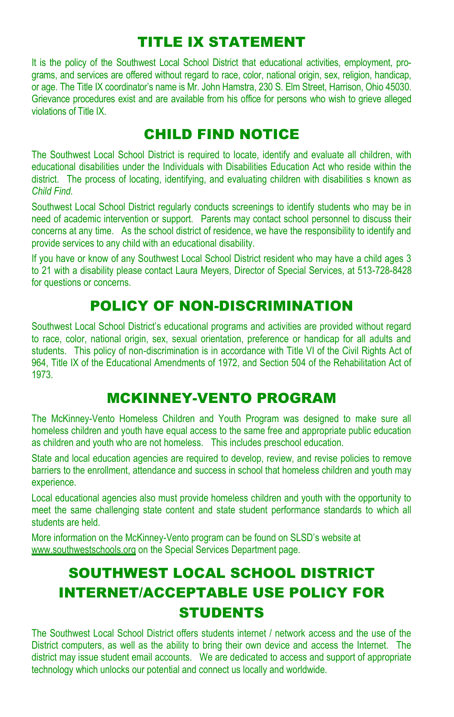# TITLE IX STATEMENT

It is the policy of the Southwest Local School District that educational activities, employment, programs, and services are offered without regard to race, color, national origin, sex, religion, handicap, or age. The Title IX coordinator's name is Mr. John Hamstra, 230 S. Elm Street, Harrison, Ohio 45030. Grievance procedures exist and are available from his office for persons who wish to grieve alleged violations of Title IX.

# CHILD FIND NOTICE

The Southwest Local School District is required to locate, identify and evaluate all children, with educational disabilities under the Individuals with Disabilities Education Act who reside within the district. The process of locating, identifying, and evaluating children with disabilities s known as *Child Find.*

Southwest Local School District regularly conducts screenings to identify students who may be in need of academic intervention or support. Parents may contact school personnel to discuss their concerns at any time. As the school district of residence, we have the responsibility to identify and provide services to any child with an educational disability.

If you have or know of any Southwest Local School District resident who may have a child ages 3 to 21 with a disability please contact Laura Meyers, Director of Special Services, at 513-728-8428 for questions or concerns.

# POLICY OF NON-DISCRIMINATION

Southwest Local School District's educational programs and activities are provided without regard to race, color, national origin, sex, sexual orientation, preference or handicap for all adults and students. This policy of non-discrimination is in accordance with Title VI of the Civil Rights Act of 964, Title IX of the Educational Amendments of 1972, and Section 504 of the Rehabilitation Act of 1973.

# MCKINNEY-VENTO PROGRAM

The McKinney-Vento Homeless Children and Youth Program was designed to make sure all homeless children and youth have equal access to the same free and appropriate public education as children and youth who are not homeless. This includes preschool education.

State and local education agencies are required to develop, review, and revise policies to remove barriers to the enrollment, attendance and success in school that homeless children and youth may experience.

Local educational agencies also must provide homeless children and youth with the opportunity to meet the same challenging state content and state student performance standards to which all students are held.

More information on the McKinney-Vento program can be found on SLSD's website at www.southwestschools.org on the Special Services Department page.

# SOUTHWEST LOCAL SCHOOL DISTRICT INTERNET/ACCEPTABLE USE POLICY FOR STUDENTS

The Southwest Local School District offers students internet / network access and the use of the District computers, as well as the ability to bring their own device and access the Internet. The district may issue student email accounts. We are dedicated to access and support of appropriate technology which unlocks our potential and connect us locally and worldwide.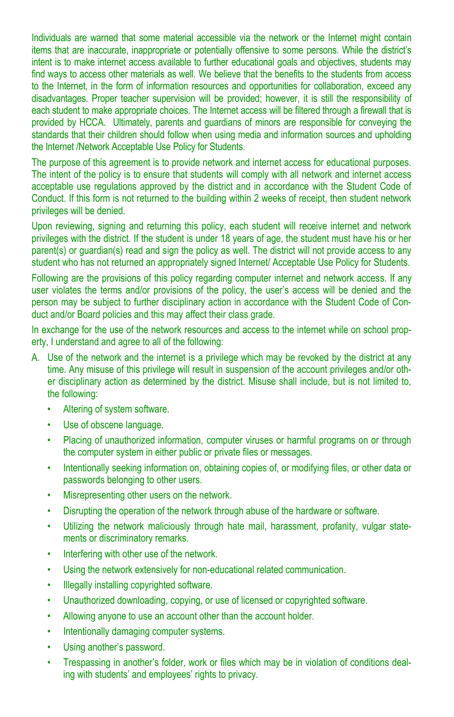Individuals are warned that some material accessible via the network or the Internet might contain items that are inaccurate, inappropriate or potentially offensive to some persons. While the district's intent is to make internet access available to further educational goals and objectives, students may find ways to access other materials as well. We believe that the benefits to the students from access to the Internet, in the form of information resources and opportunities for collaboration, exceed any disadvantages. Proper teacher supervision will be provided; however, it is still the responsibility of each student to make appropriate choices. The Internet access will be filtered through a firewall that is provided by HCCA. Ultimately, parents and guardians of minors are responsible for conveying the standards that their children should follow when using media and information sources and upholding the Internet /Network Acceptable Use Policy for Students.

The purpose of this agreement is to provide network and internet access for educational purposes. The intent of the policy is to ensure that students will comply with all network and internet access acceptable use regulations approved by the district and in accordance with the Student Code of Conduct. If this form is not returned to the building within 2 weeks of receipt, then student network privileges will be denied.

Upon reviewing, signing and returning this policy, each student will receive internet and network privileges with the district. If the student is under 18 years of age, the student must have his or her parent(s) or guardian(s) read and sign the policy as well. The district will not provide access to any student who has not returned an appropriately signed Internet/ Acceptable Use Policy for Students.

Following are the provisions of this policy regarding computer internet and network access. If any user violates the terms and/or provisions of the policy, the user's access will be denied and the person may be subject to further disciplinary action in accordance with the Student Code of Conduct and/or Board policies and this may affect their class grade.

In exchange for the use of the network resources and access to the internet while on school property, I understand and agree to all of the following:

- A. Use of the network and the internet is a privilege which may be revoked by the district at any time. Any misuse of this privilege will result in suspension of the account privileges and/or other disciplinary action as determined by the district. Misuse shall include, but is not limited to, the following:
	- Altering of system software.
	- Use of obscene language.
	- Placing of unauthorized information, computer viruses or harmful programs on or through the computer system in either public or private files or messages.
	- Intentionally seeking information on, obtaining copies of, or modifying files, or other data or passwords belonging to other users.
	- Misrepresenting other users on the network.
	- Disrupting the operation of the network through abuse of the hardware or software.
	- Utilizing the network maliciously through hate mail, harassment, profanity, vulgar statements or discriminatory remarks.
	- Interfering with other use of the network.
	- Using the network extensively for non-educational related communication.
	- Illegally installing copyrighted software.
	- Unauthorized downloading, copying, or use of licensed or copyrighted software.
	- Allowing anyone to use an account other than the account holder.
	- Intentionally damaging computer systems.
	- Using another's password.
	- Trespassing in another's folder, work or files which may be in violation of conditions dealing with students' and employees' rights to privacy.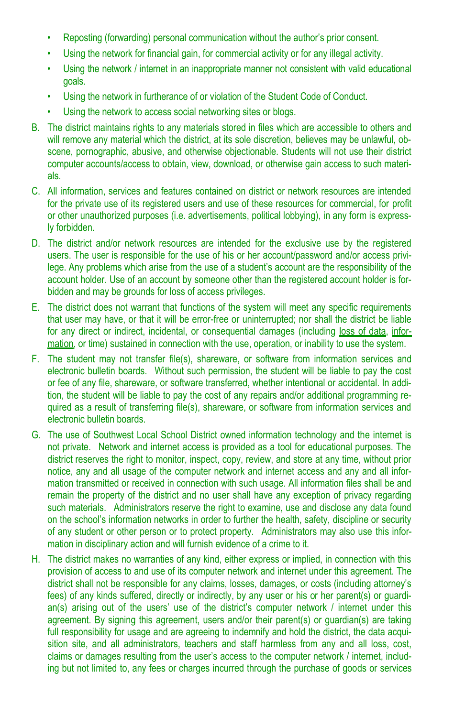- Reposting (forwarding) personal communication without the author's prior consent.
- Using the network for financial gain, for commercial activity or for any illegal activity.
- Using the network / internet in an inappropriate manner not consistent with valid educational goals.
- Using the network in furtherance of or violation of the Student Code of Conduct.
- Using the network to access social networking sites or blogs.
- B. The district maintains rights to any materials stored in files which are accessible to others and will remove any material which the district, at its sole discretion, believes may be unlawful, obscene, pornographic, abusive, and otherwise objectionable. Students will not use their district computer accounts/access to obtain, view, download, or otherwise gain access to such materials.
- C. All information, services and features contained on district or network resources are intended for the private use of its registered users and use of these resources for commercial, for profit or other unauthorized purposes (i.e. advertisements, political lobbying), in any form is expressly forbidden.
- D. The district and/or network resources are intended for the exclusive use by the registered users. The user is responsible for the use of his or her account/password and/or access privilege. Any problems which arise from the use of a student's account are the responsibility of the account holder. Use of an account by someone other than the registered account holder is forbidden and may be grounds for loss of access privileges.
- E. The district does not warrant that functions of the system will meet any specific requirements that user may have, or that it will be error-free or uninterrupted; nor shall the district be liable for any direct or indirect, incidental, or consequential damages (including loss of data, information, or time) sustained in connection with the use, operation, or inability to use the system.
- F. The student may not transfer file(s), shareware, or software from information services and electronic bulletin boards. Without such permission, the student will be liable to pay the cost or fee of any file, shareware, or software transferred, whether intentional or accidental. In addition, the student will be liable to pay the cost of any repairs and/or additional programming required as a result of transferring file(s), shareware, or software from information services and electronic bulletin boards.
- G. The use of Southwest Local School District owned information technology and the internet is not private. Network and internet access is provided as a tool for educational purposes. The district reserves the right to monitor, inspect, copy, review, and store at any time, without prior notice, any and all usage of the computer network and internet access and any and all information transmitted or received in connection with such usage. All information files shall be and remain the property of the district and no user shall have any exception of privacy regarding such materials. Administrators reserve the right to examine, use and disclose any data found on the school's information networks in order to further the health, safety, discipline or security of any student or other person or to protect property. Administrators may also use this information in disciplinary action and will furnish evidence of a crime to it.
- H. The district makes no warranties of any kind, either express or implied, in connection with this provision of access to and use of its computer network and internet under this agreement. The district shall not be responsible for any claims, losses, damages, or costs (including attorney's fees) of any kinds suffered, directly or indirectly, by any user or his or her parent(s) or guardian(s) arising out of the users' use of the district's computer network / internet under this agreement. By signing this agreement, users and/or their parent(s) or guardian(s) are taking full responsibility for usage and are agreeing to indemnify and hold the district, the data acquisition site, and all administrators, teachers and staff harmless from any and all loss, cost, claims or damages resulting from the user's access to the computer network / internet, including but not limited to, any fees or charges incurred through the purchase of goods or services